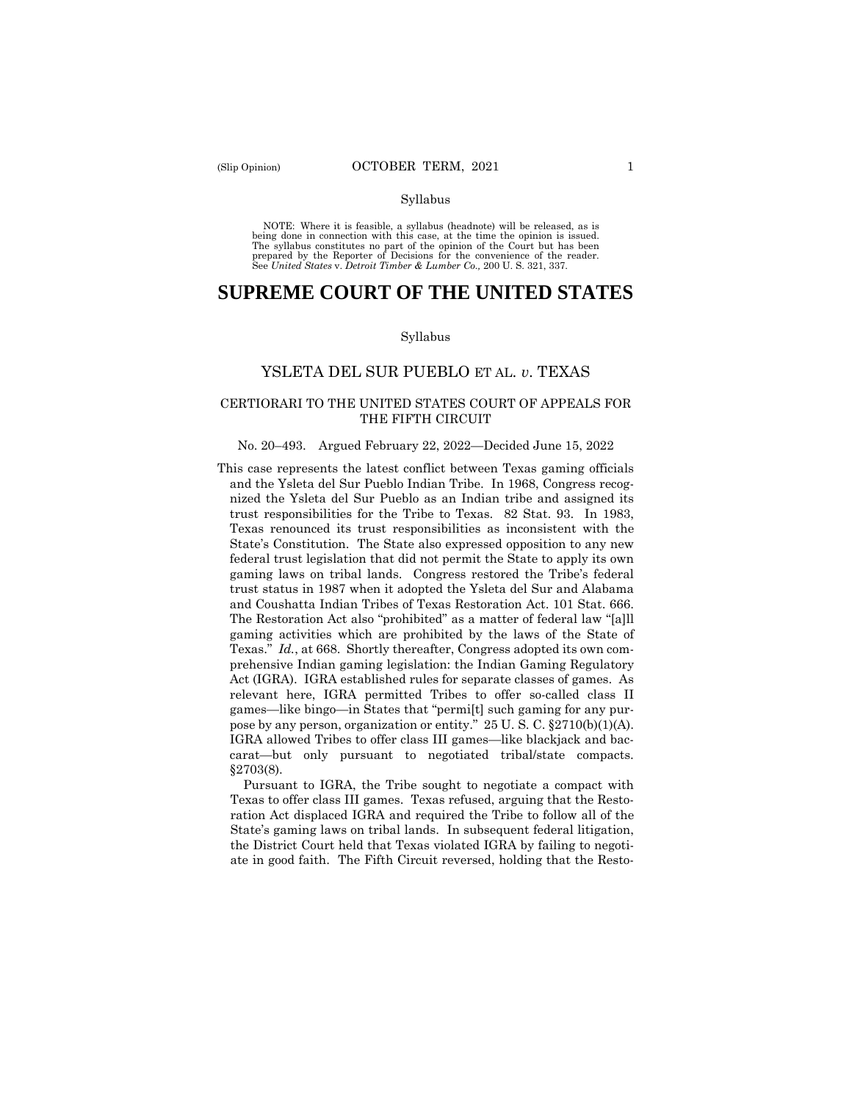NOTE: Where it is feasible, a syllabus (headnote) will be released, as is being done in connection with this case, at the time the opinion is issued. The syllabus constitutes no part of the opinion of the Court but has been<br>prepared by the Reporter of Decisions for the convenience of the reader.<br>See United States v. Detroit Timber & Lumber Co., 200 U.S. 321, 337.

# **SUPREME COURT OF THE UNITED STATES**

#### Syllabus

# YSLETA DEL SUR PUEBLO ET AL. *v*. TEXAS

## CERTIORARI TO THE UNITED STATES COURT OF APPEALS FOR THE FIFTH CIRCUIT

#### No. 20–493. Argued February 22, 2022—Decided June 15, 2022

 pose by any person, organization or entity." 25 U. S. C. §2710(b)(1)(A). carat—but only pursuant to negotiated tribal/state compacts. §2703(8). This case represents the latest conflict between Texas gaming officials and the Ysleta del Sur Pueblo Indian Tribe. In 1968, Congress recognized the Ysleta del Sur Pueblo as an Indian tribe and assigned its trust responsibilities for the Tribe to Texas. 82 Stat. 93. In 1983, Texas renounced its trust responsibilities as inconsistent with the State's Constitution. The State also expressed opposition to any new federal trust legislation that did not permit the State to apply its own gaming laws on tribal lands. Congress restored the Tribe's federal trust status in 1987 when it adopted the Ysleta del Sur and Alabama and Coushatta Indian Tribes of Texas Restoration Act. 101 Stat. 666. The Restoration Act also "prohibited" as a matter of federal law "[a]ll gaming activities which are prohibited by the laws of the State of Texas." *Id.*, at 668. Shortly thereafter, Congress adopted its own comprehensive Indian gaming legislation: the Indian Gaming Regulatory Act (IGRA). IGRA established rules for separate classes of games. As relevant here, IGRA permitted Tribes to offer so-called class II games—like bingo—in States that "permi[t] such gaming for any pur-IGRA allowed Tribes to offer class III games—like blackjack and bac-

Pursuant to IGRA, the Tribe sought to negotiate a compact with Texas to offer class III games. Texas refused, arguing that the Restoration Act displaced IGRA and required the Tribe to follow all of the State's gaming laws on tribal lands. In subsequent federal litigation, the District Court held that Texas violated IGRA by failing to negotiate in good faith. The Fifth Circuit reversed, holding that the Resto-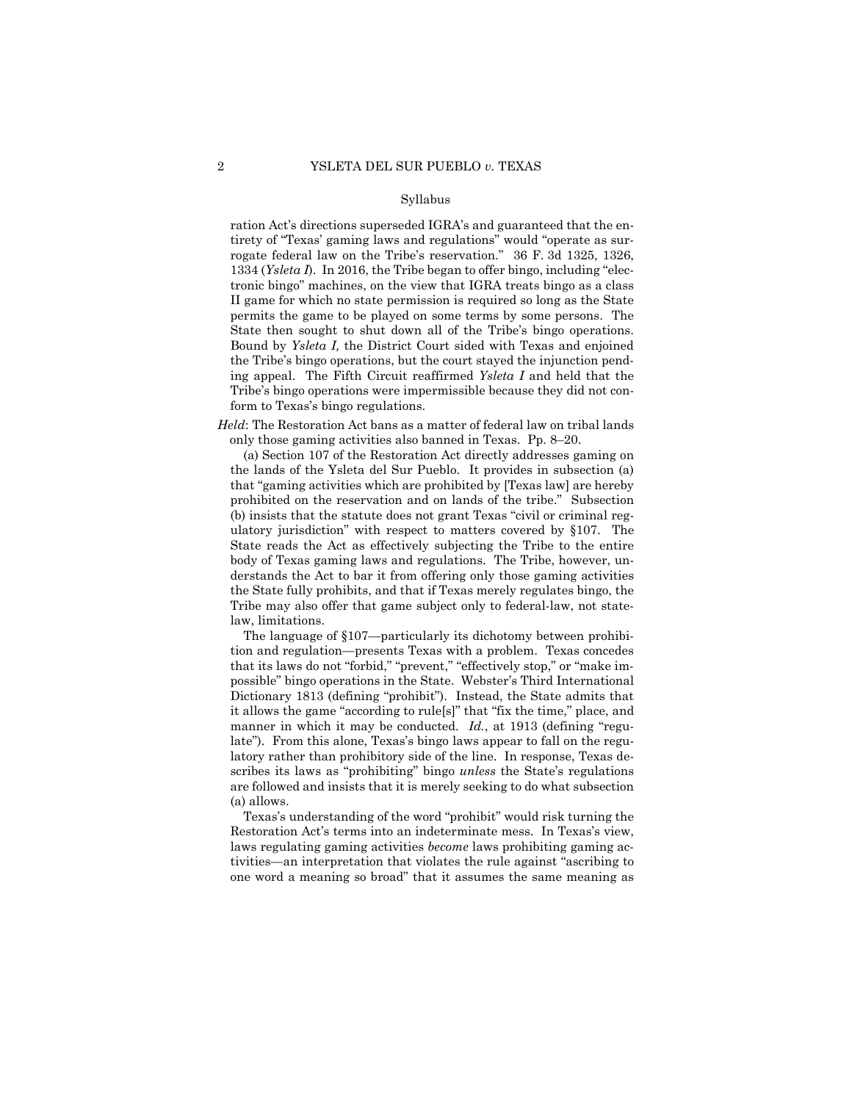ration Act's directions superseded IGRA's and guaranteed that the entirety of "Texas' gaming laws and regulations" would "operate as surrogate federal law on the Tribe's reservation." 36 F. 3d 1325, 1326, 1334 (*Ysleta I*). In 2016, the Tribe began to offer bingo, including "electronic bingo" machines, on the view that IGRA treats bingo as a class II game for which no state permission is required so long as the State permits the game to be played on some terms by some persons. The State then sought to shut down all of the Tribe's bingo operations. Bound by *Ysleta I,* the District Court sided with Texas and enjoined the Tribe's bingo operations, but the court stayed the injunction pending appeal. The Fifth Circuit reaffirmed *Ysleta I* and held that the Tribe's bingo operations were impermissible because they did not conform to Texas's bingo regulations.

*Held*: The Restoration Act bans as a matter of federal law on tribal lands only those gaming activities also banned in Texas. Pp. 8–20.

(a) Section 107 of the Restoration Act directly addresses gaming on the lands of the Ysleta del Sur Pueblo. It provides in subsection (a) that "gaming activities which are prohibited by [Texas law] are hereby prohibited on the reservation and on lands of the tribe." Subsection (b) insists that the statute does not grant Texas "civil or criminal regulatory jurisdiction" with respect to matters covered by §107. The State reads the Act as effectively subjecting the Tribe to the entire body of Texas gaming laws and regulations. The Tribe, however, understands the Act to bar it from offering only those gaming activities the State fully prohibits, and that if Texas merely regulates bingo, the Tribe may also offer that game subject only to federal-law, not statelaw, limitations.

 manner in which it may be conducted. *Id.*, at 1913 (defining "regu-The language of §107—particularly its dichotomy between prohibition and regulation—presents Texas with a problem. Texas concedes that its laws do not "forbid," "prevent," "effectively stop," or "make impossible" bingo operations in the State. Webster's Third International Dictionary 1813 (defining "prohibit"). Instead, the State admits that it allows the game "according to rule[s]" that "fix the time," place, and late"). From this alone, Texas's bingo laws appear to fall on the regulatory rather than prohibitory side of the line. In response, Texas describes its laws as "prohibiting" bingo *unless* the State's regulations are followed and insists that it is merely seeking to do what subsection (a) allows.

Texas's understanding of the word "prohibit" would risk turning the Restoration Act's terms into an indeterminate mess. In Texas's view, laws regulating gaming activities *become* laws prohibiting gaming activities—an interpretation that violates the rule against "ascribing to one word a meaning so broad" that it assumes the same meaning as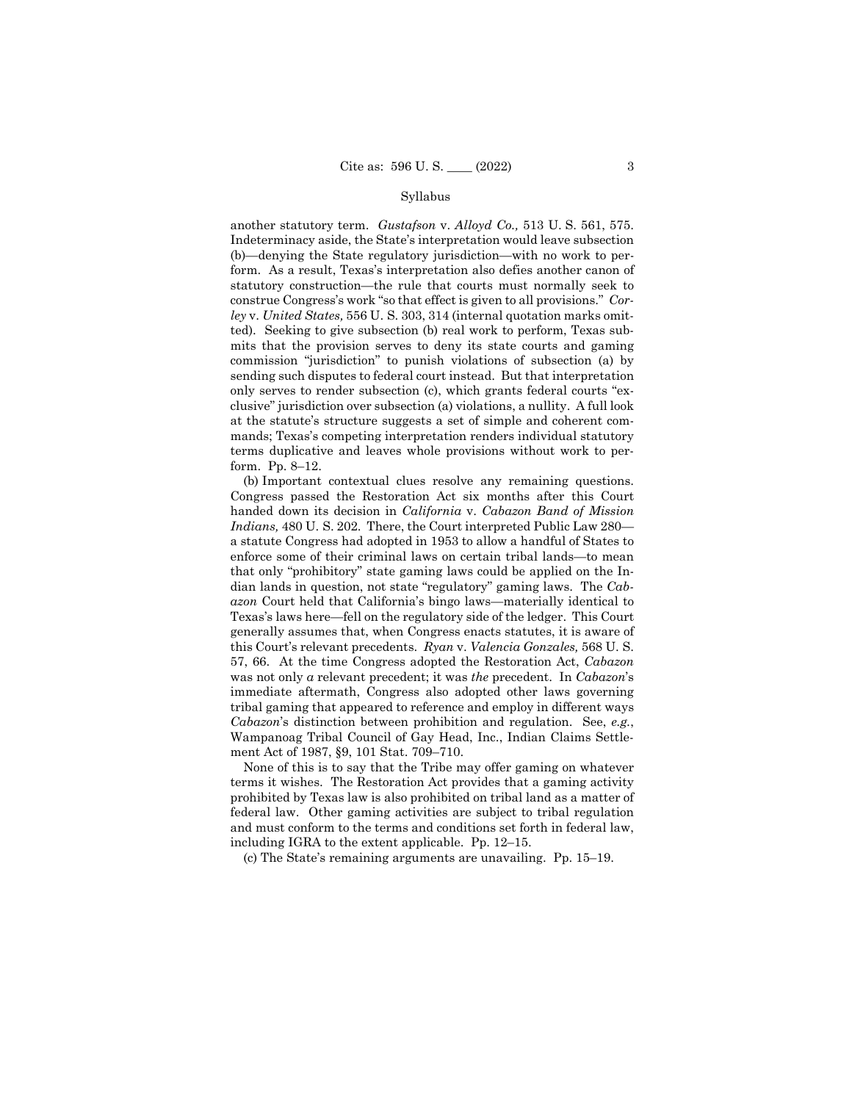another statutory term. *Gustafson* v. *Alloyd Co.,* 513 U. S. 561, 575. Indeterminacy aside, the State's interpretation would leave subsection (b)—denying the State regulatory jurisdiction—with no work to perform. As a result, Texas's interpretation also defies another canon of statutory construction—the rule that courts must normally seek to construe Congress's work "so that effect is given to all provisions." *Corley* v. *United States,* 556 U. S. 303, 314 (internal quotation marks omitted). Seeking to give subsection (b) real work to perform, Texas submits that the provision serves to deny its state courts and gaming commission "jurisdiction" to punish violations of subsection (a) by sending such disputes to federal court instead. But that interpretation only serves to render subsection (c), which grants federal courts "exclusive" jurisdiction over subsection (a) violations, a nullity. A full look at the statute's structure suggests a set of simple and coherent commands; Texas's competing interpretation renders individual statutory terms duplicative and leaves whole provisions without work to perform. Pp. 8–12.

(b) Important contextual clues resolve any remaining questions. Congress passed the Restoration Act six months after this Court handed down its decision in *California* v. *Cabazon Band of Mission Indians,* 480 U. S. 202. There, the Court interpreted Public Law 280 a statute Congress had adopted in 1953 to allow a handful of States to enforce some of their criminal laws on certain tribal lands—to mean that only "prohibitory" state gaming laws could be applied on the Indian lands in question, not state "regulatory" gaming laws. The *Cabazon* Court held that California's bingo laws—materially identical to Texas's laws here—fell on the regulatory side of the ledger. This Court generally assumes that, when Congress enacts statutes, it is aware of this Court's relevant precedents. *Ryan* v. *Valencia Gonzales,* 568 U. S. 57, 66. At the time Congress adopted the Restoration Act, *Cabazon*  was not only *a* relevant precedent; it was *the* precedent. In *Cabazon*'s immediate aftermath, Congress also adopted other laws governing tribal gaming that appeared to reference and employ in different ways *Cabazon*'s distinction between prohibition and regulation. See, *e.g.*, Wampanoag Tribal Council of Gay Head, Inc., Indian Claims Settlement Act of 1987, §9, 101 Stat. 709–710.

None of this is to say that the Tribe may offer gaming on whatever terms it wishes. The Restoration Act provides that a gaming activity prohibited by Texas law is also prohibited on tribal land as a matter of federal law. Other gaming activities are subject to tribal regulation and must conform to the terms and conditions set forth in federal law, including IGRA to the extent applicable. Pp. 12–15.

(c) The State's remaining arguments are unavailing. Pp. 15–19.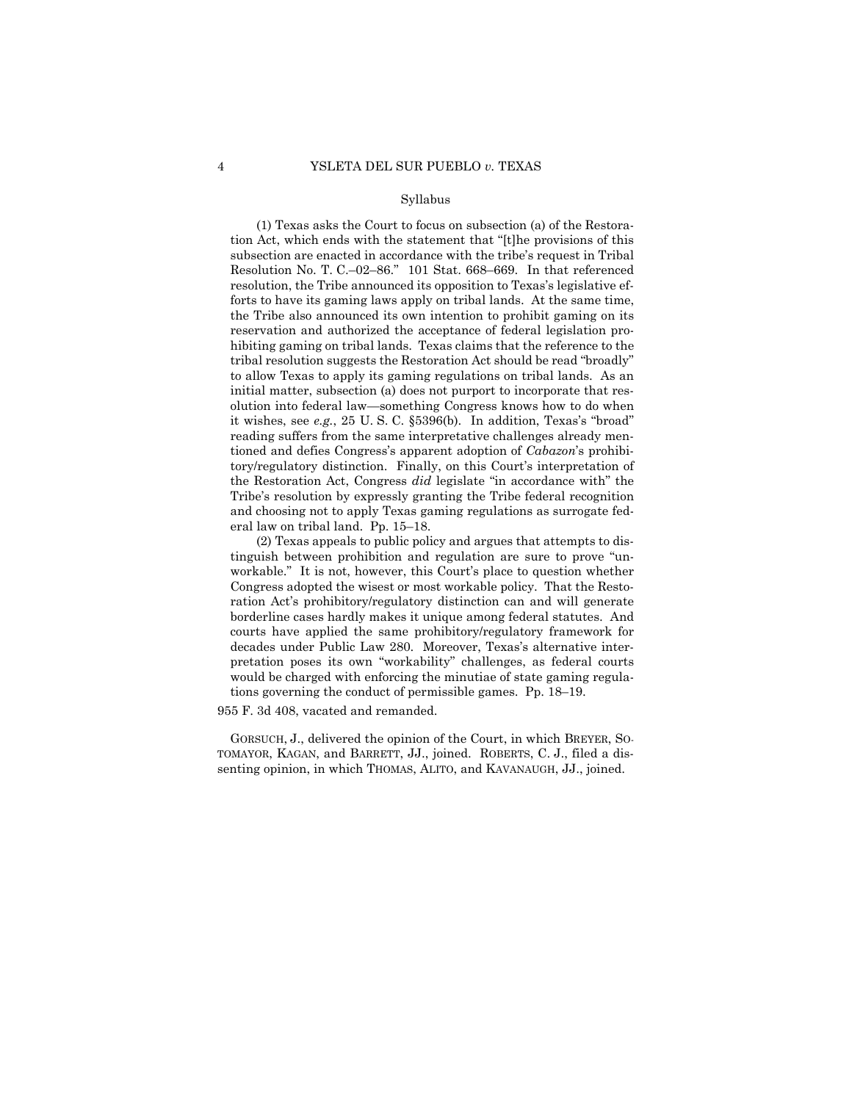(1) Texas asks the Court to focus on subsection (a) of the Restoration Act, which ends with the statement that "[t]he provisions of this subsection are enacted in accordance with the tribe's request in Tribal Resolution No. T. C.–02–86." 101 Stat. 668–669. In that referenced resolution, the Tribe announced its opposition to Texas's legislative efforts to have its gaming laws apply on tribal lands. At the same time, the Tribe also announced its own intention to prohibit gaming on its reservation and authorized the acceptance of federal legislation prohibiting gaming on tribal lands. Texas claims that the reference to the tribal resolution suggests the Restoration Act should be read "broadly" to allow Texas to apply its gaming regulations on tribal lands. As an initial matter, subsection (a) does not purport to incorporate that resolution into federal law—something Congress knows how to do when it wishes, see *e.g.*, 25 U. S. C. §5396(b). In addition, Texas's "broad" reading suffers from the same interpretative challenges already mentioned and defies Congress's apparent adoption of *Cabazon*'s prohibitory/regulatory distinction. Finally, on this Court's interpretation of the Restoration Act, Congress *did* legislate "in accordance with" the Tribe's resolution by expressly granting the Tribe federal recognition and choosing not to apply Texas gaming regulations as surrogate federal law on tribal land. Pp. 15–18.

(2) Texas appeals to public policy and argues that attempts to distinguish between prohibition and regulation are sure to prove "unworkable." It is not, however, this Court's place to question whether Congress adopted the wisest or most workable policy. That the Restoration Act's prohibitory/regulatory distinction can and will generate borderline cases hardly makes it unique among federal statutes. And courts have applied the same prohibitory/regulatory framework for decades under Public Law 280. Moreover, Texas's alternative interpretation poses its own "workability" challenges, as federal courts would be charged with enforcing the minutiae of state gaming regulations governing the conduct of permissible games. Pp. 18–19.

955 F. 3d 408, vacated and remanded.

GORSUCH, J., delivered the opinion of the Court, in which BREYER, SO-TOMAYOR, KAGAN, and BARRETT, JJ., joined. ROBERTS, C. J., filed a dissenting opinion, in which THOMAS, ALITO, and KAVANAUGH, JJ., joined.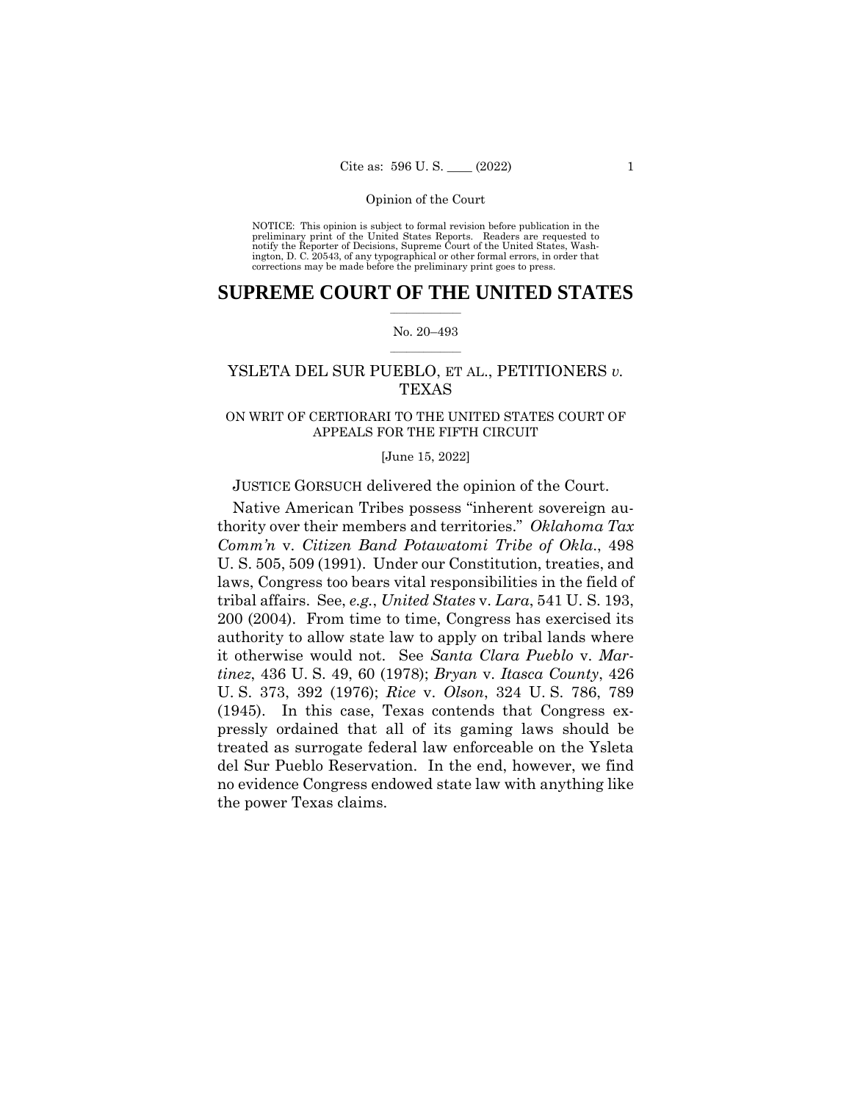NOTICE: This opinion is subject to formal revision before publication in the preliminary print of the United States Reports. Readers are requested to notify the Reporter of Decisions, Supreme Court of the United States, Wash-ington, D. C. 20543, of any typographical or other formal errors, in order that corrections may be made before the preliminary print goes to press.

# $\frac{1}{2}$  ,  $\frac{1}{2}$  ,  $\frac{1}{2}$  ,  $\frac{1}{2}$  ,  $\frac{1}{2}$  ,  $\frac{1}{2}$  ,  $\frac{1}{2}$ **SUPREME COURT OF THE UNITED STATES**

### $\frac{1}{2}$  ,  $\frac{1}{2}$  ,  $\frac{1}{2}$  ,  $\frac{1}{2}$  ,  $\frac{1}{2}$  ,  $\frac{1}{2}$ No. 20–493

# YSLETA DEL SUR PUEBLO, ET AL., PETITIONERS *v.*  TEXAS

# ON WRIT OF CERTIORARI TO THE UNITED STATES COURT OF APPEALS FOR THE FIFTH CIRCUIT

### [June 15, 2022]

# JUSTICE GORSUCH delivered the opinion of the Court.

(1945). In this case, Texas contends that Congress ex-Native American Tribes possess "inherent sovereign authority over their members and territories." *Oklahoma Tax Comm'n* v. *Citizen Band Potawatomi Tribe of Okla*., 498 U. S. 505, 509 (1991). Under our Constitution, treaties, and laws, Congress too bears vital responsibilities in the field of tribal affairs. See, *e.g.*, *United States* v. *Lara*, 541 U. S. 193, 200 (2004). From time to time, Congress has exercised its authority to allow state law to apply on tribal lands where it otherwise would not. See *Santa Clara Pueblo* v. *Martinez*, 436 U. S. 49, 60 (1978); *Bryan* v. *Itasca County*, 426 U. S. 373, 392 (1976); *Rice* v. *Olson*, 324 U. S. 786, 789 pressly ordained that all of its gaming laws should be treated as surrogate federal law enforceable on the Ysleta del Sur Pueblo Reservation. In the end, however, we find no evidence Congress endowed state law with anything like the power Texas claims.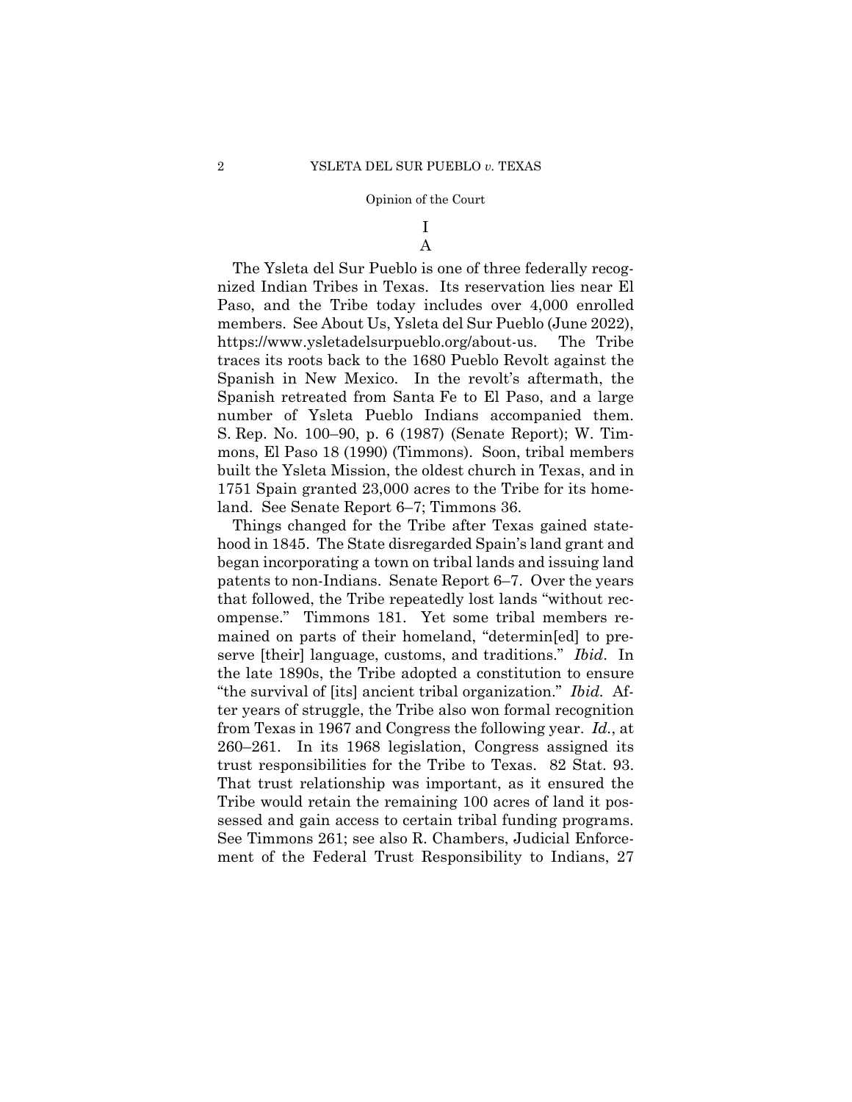# I A

The Ysleta del Sur Pueblo is one of three federally recognized Indian Tribes in Texas. Its reservation lies near El Paso, and the Tribe today includes over 4,000 enrolled members. See About Us, Ysleta del Sur Pueblo (June 2022), https://www.ysletadelsurpueblo.org/about-us. The Tribe traces its roots back to the 1680 Pueblo Revolt against the Spanish in New Mexico. In the revolt's aftermath, the Spanish retreated from Santa Fe to El Paso, and a large number of Ysleta Pueblo Indians accompanied them. S. Rep. No. 100–90, p. 6 (1987) (Senate Report); W. Timmons, El Paso 18 (1990) (Timmons). Soon, tribal members built the Ysleta Mission, the oldest church in Texas, and in 1751 Spain granted 23,000 acres to the Tribe for its homeland. See Senate Report 6–7; Timmons 36.

Things changed for the Tribe after Texas gained statehood in 1845. The State disregarded Spain's land grant and began incorporating a town on tribal lands and issuing land patents to non-Indians. Senate Report 6–7. Over the years that followed, the Tribe repeatedly lost lands "without recompense." Timmons 181. Yet some tribal members remained on parts of their homeland, "determin[ed] to preserve [their] language, customs, and traditions." *Ibid*. In the late 1890s, the Tribe adopted a constitution to ensure "the survival of [its] ancient tribal organization." *Ibid.* After years of struggle, the Tribe also won formal recognition from Texas in 1967 and Congress the following year. *Id.*, at 260–261. In its 1968 legislation, Congress assigned its trust responsibilities for the Tribe to Texas. 82 Stat. 93. That trust relationship was important, as it ensured the Tribe would retain the remaining 100 acres of land it possessed and gain access to certain tribal funding programs. See Timmons 261; see also R. Chambers, Judicial Enforcement of the Federal Trust Responsibility to Indians, 27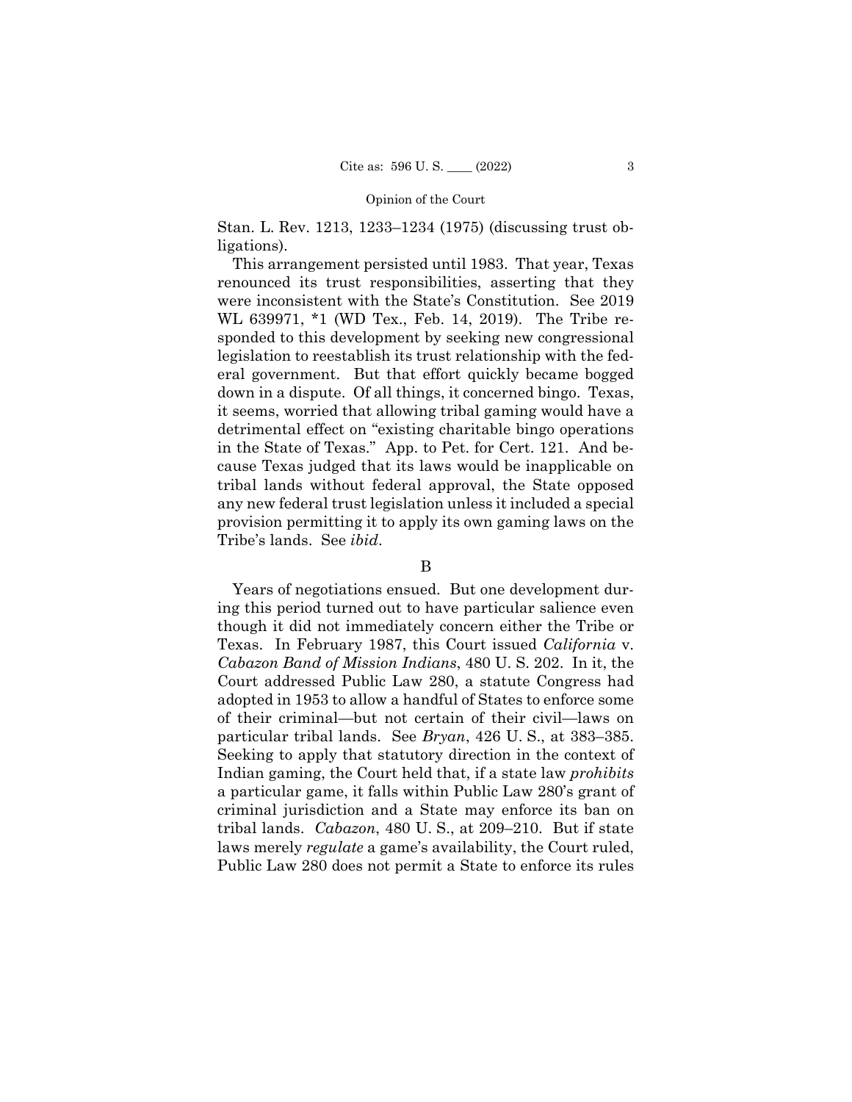Stan. L. Rev. 1213, 1233–1234 (1975) (discussing trust obligations).

This arrangement persisted until 1983. That year, Texas renounced its trust responsibilities, asserting that they were inconsistent with the State's Constitution. See 2019 WL 639971, \*1 (WD Tex., Feb. 14, 2019). The Tribe responded to this development by seeking new congressional legislation to reestablish its trust relationship with the federal government. But that effort quickly became bogged down in a dispute. Of all things, it concerned bingo. Texas, it seems, worried that allowing tribal gaming would have a detrimental effect on "existing charitable bingo operations in the State of Texas." App. to Pet. for Cert. 121. And because Texas judged that its laws would be inapplicable on tribal lands without federal approval, the State opposed any new federal trust legislation unless it included a special provision permitting it to apply its own gaming laws on the Tribe's lands. See *ibid*.

# B

 tribal lands. *Cabazon*, 480 U. S., at 209–210. But if state Years of negotiations ensued. But one development during this period turned out to have particular salience even though it did not immediately concern either the Tribe or Texas. In February 1987, this Court issued *California* v. *Cabazon Band of Mission Indians*, 480 U. S. 202. In it, the Court addressed Public Law 280, a statute Congress had adopted in 1953 to allow a handful of States to enforce some of their criminal—but not certain of their civil—laws on particular tribal lands. See *Bryan*, 426 U. S., at 383–385. Seeking to apply that statutory direction in the context of Indian gaming, the Court held that, if a state law *prohibits* a particular game, it falls within Public Law 280's grant of criminal jurisdiction and a State may enforce its ban on laws merely *regulate* a game's availability, the Court ruled, Public Law 280 does not permit a State to enforce its rules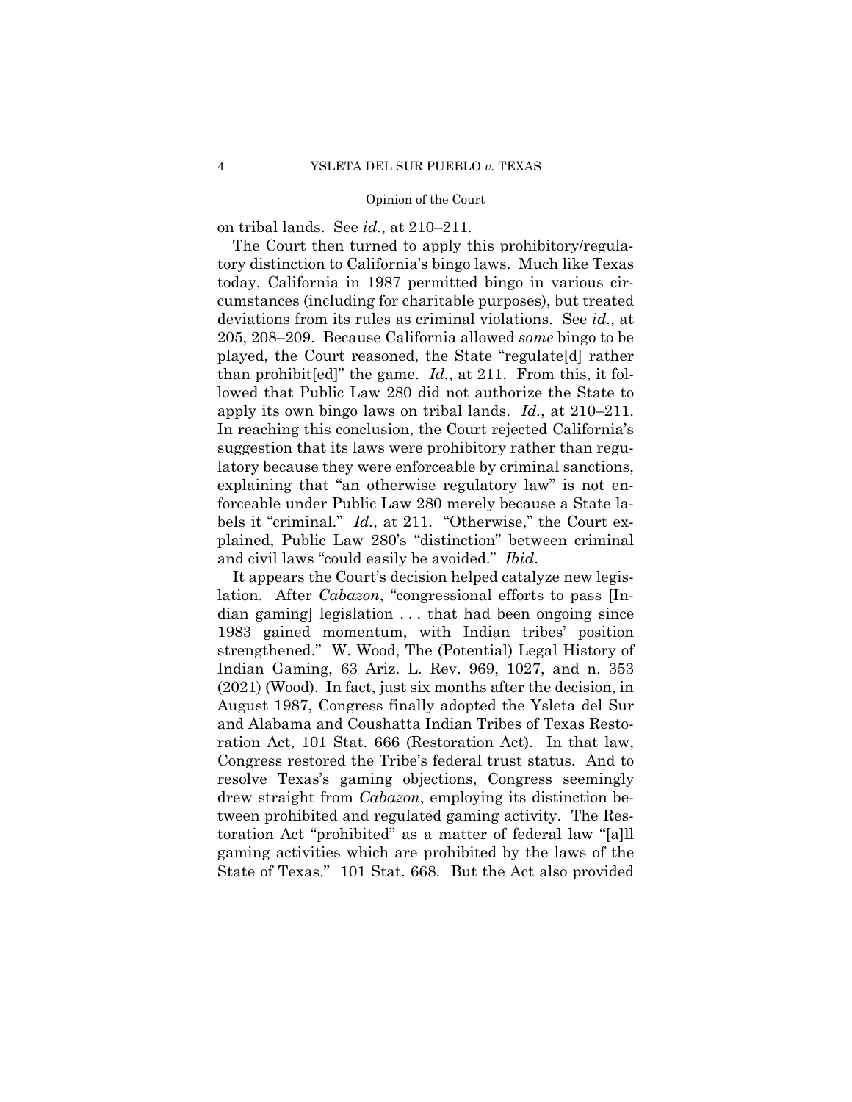on tribal lands. See *id.*, at 210–211*.* 

The Court then turned to apply this prohibitory/regulatory distinction to California's bingo laws. Much like Texas today, California in 1987 permitted bingo in various circumstances (including for charitable purposes), but treated deviations from its rules as criminal violations. See *id.*, at 205, 208–209. Because California allowed *some* bingo to be played, the Court reasoned, the State "regulate[d] rather than prohibit[ed]" the game. *Id.*, at 211. From this, it followed that Public Law 280 did not authorize the State to apply its own bingo laws on tribal lands. *Id.*, at 210–211. In reaching this conclusion, the Court rejected California's suggestion that its laws were prohibitory rather than regulatory because they were enforceable by criminal sanctions, explaining that "an otherwise regulatory law" is not enforceable under Public Law 280 merely because a State labels it "criminal." *Id.*, at 211. "Otherwise," the Court explained, Public Law 280's "distinction" between criminal and civil laws "could easily be avoided." *Ibid*.

 ration Act, 101 Stat. 666 (Restoration Act). In that law, It appears the Court's decision helped catalyze new legislation. After *Cabazon*, "congressional efforts to pass [Indian gaming] legislation . . . that had been ongoing since 1983 gained momentum, with Indian tribes' position strengthened." W. Wood, The (Potential) Legal History of Indian Gaming, 63 Ariz. L. Rev. 969, 1027, and n. 353 (2021) (Wood). In fact, just six months after the decision, in August 1987, Congress finally adopted the Ysleta del Sur and Alabama and Coushatta Indian Tribes of Texas Resto-Congress restored the Tribe's federal trust status. And to resolve Texas's gaming objections, Congress seemingly drew straight from *Cabazon*, employing its distinction between prohibited and regulated gaming activity. The Restoration Act "prohibited" as a matter of federal law "[a]ll gaming activities which are prohibited by the laws of the State of Texas." 101 Stat. 668. But the Act also provided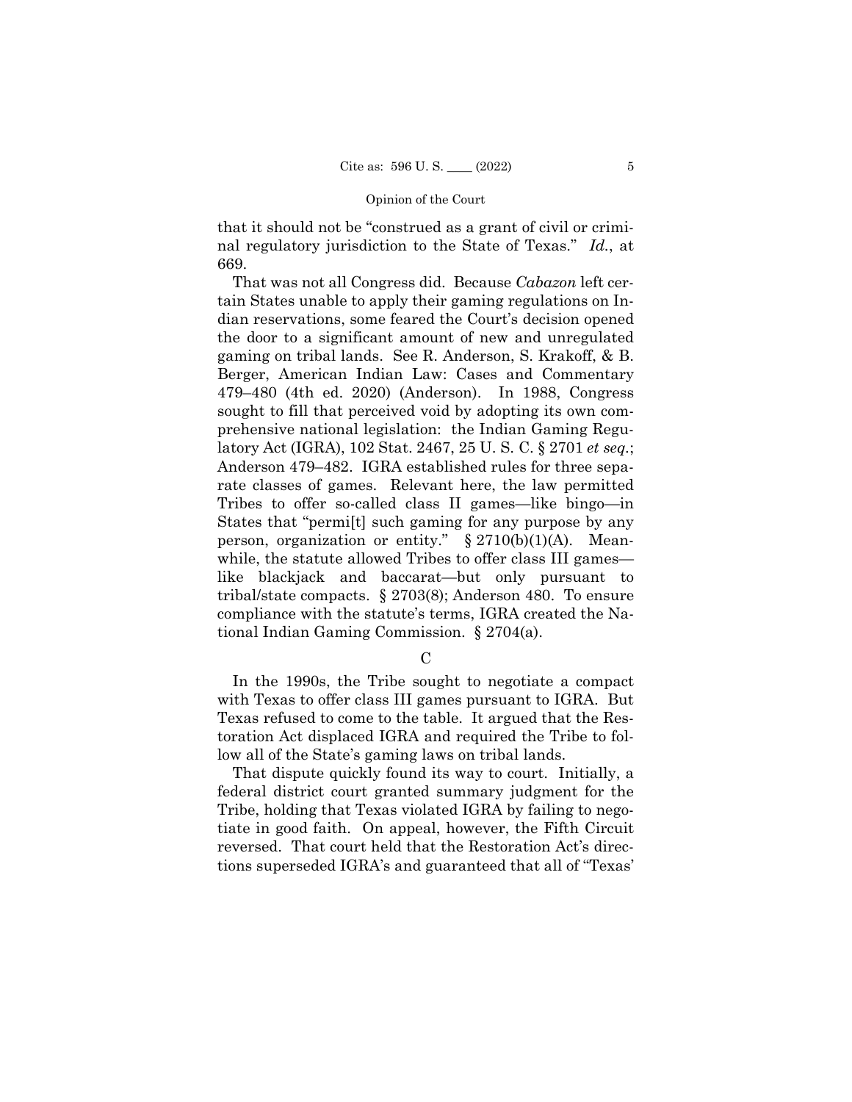that it should not be "construed as a grant of civil or criminal regulatory jurisdiction to the State of Texas." *Id.*, at 669.

 latory Act (IGRA), 102 Stat. 2467, 25 U. S. C. § 2701 *et seq.*; That was not all Congress did. Because *Cabazon* left certain States unable to apply their gaming regulations on Indian reservations, some feared the Court's decision opened the door to a significant amount of new and unregulated gaming on tribal lands. See R. Anderson, S. Krakoff, & B. Berger, American Indian Law: Cases and Commentary 479–480 (4th ed. 2020) (Anderson). In 1988, Congress sought to fill that perceived void by adopting its own comprehensive national legislation: the Indian Gaming Regu-Anderson 479–482. IGRA established rules for three separate classes of games. Relevant here, the law permitted Tribes to offer so-called class II games—like bingo—in States that "permi[t] such gaming for any purpose by any person, organization or entity."  $\S 2710(b)(1)(A)$ . Meanwhile, the statute allowed Tribes to offer class III games like blackjack and baccarat—but only pursuant to tribal/state compacts. § 2703(8); Anderson 480. To ensure compliance with the statute's terms, IGRA created the National Indian Gaming Commission. § 2704(a).

 $\mathcal{C}$ 

In the 1990s, the Tribe sought to negotiate a compact with Texas to offer class III games pursuant to IGRA. But Texas refused to come to the table. It argued that the Restoration Act displaced IGRA and required the Tribe to follow all of the State's gaming laws on tribal lands.

That dispute quickly found its way to court. Initially, a federal district court granted summary judgment for the Tribe, holding that Texas violated IGRA by failing to negotiate in good faith. On appeal, however, the Fifth Circuit reversed. That court held that the Restoration Act's directions superseded IGRA's and guaranteed that all of "Texas'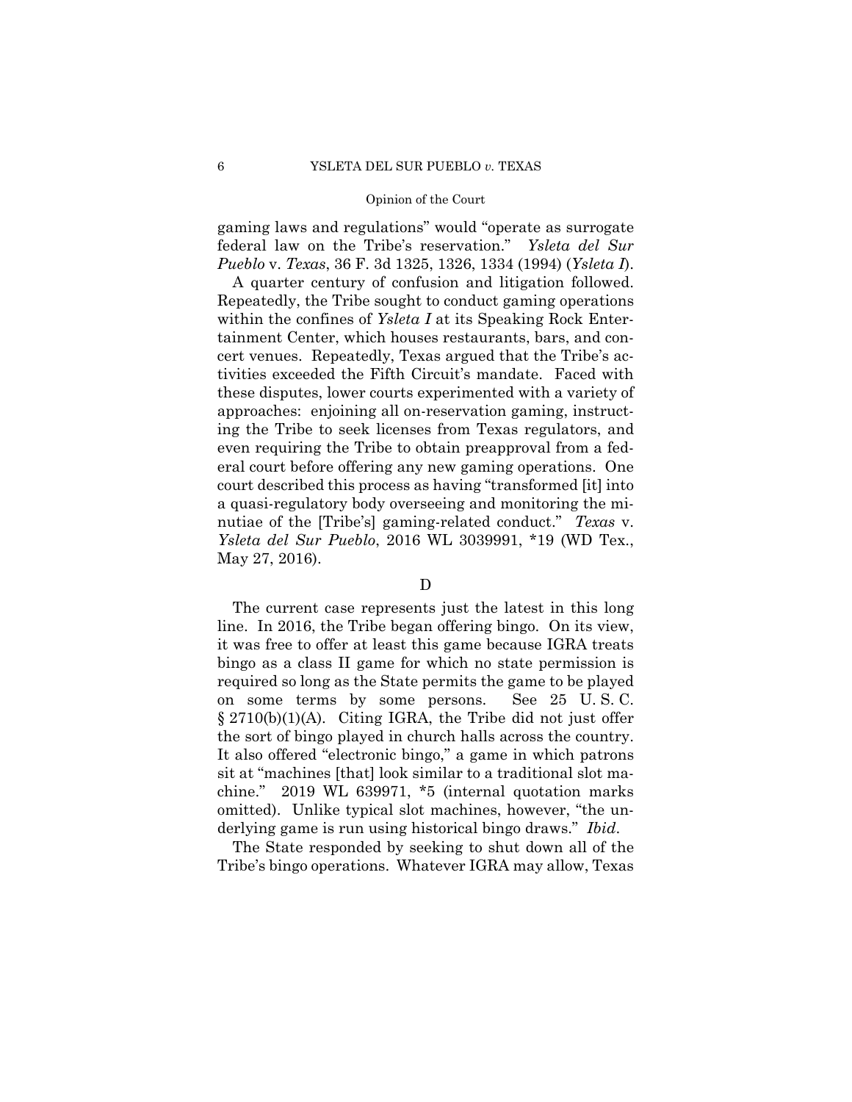gaming laws and regulations" would "operate as surrogate federal law on the Tribe's reservation." *Ysleta del Sur Pueblo* v. *Texas*, 36 F. 3d 1325, 1326, 1334 (1994) (*Ysleta I*).

A quarter century of confusion and litigation followed. Repeatedly, the Tribe sought to conduct gaming operations within the confines of *Ysleta I* at its Speaking Rock Entertainment Center, which houses restaurants, bars, and concert venues. Repeatedly, Texas argued that the Tribe's activities exceeded the Fifth Circuit's mandate. Faced with these disputes, lower courts experimented with a variety of approaches: enjoining all on-reservation gaming, instructing the Tribe to seek licenses from Texas regulators, and even requiring the Tribe to obtain preapproval from a federal court before offering any new gaming operations. One court described this process as having "transformed [it] into a quasi-regulatory body overseeing and monitoring the minutiae of the [Tribe's] gaming-related conduct." *Texas* v. *Ysleta del Sur Pueblo*, 2016 WL 3039991, \*19 (WD Tex., May 27, 2016).

### D

The current case represents just the latest in this long line. In 2016, the Tribe began offering bingo. On its view, it was free to offer at least this game because IGRA treats bingo as a class II game for which no state permission is required so long as the State permits the game to be played on some terms by some persons. See 25 U. S. C. § 2710(b)(1)(A). Citing IGRA, the Tribe did not just offer the sort of bingo played in church halls across the country. It also offered "electronic bingo," a game in which patrons sit at "machines [that] look similar to a traditional slot machine." 2019 WL 639971, \*5 (internal quotation marks omitted). Unlike typical slot machines, however, "the underlying game is run using historical bingo draws." *Ibid*.

The State responded by seeking to shut down all of the Tribe's bingo operations. Whatever IGRA may allow, Texas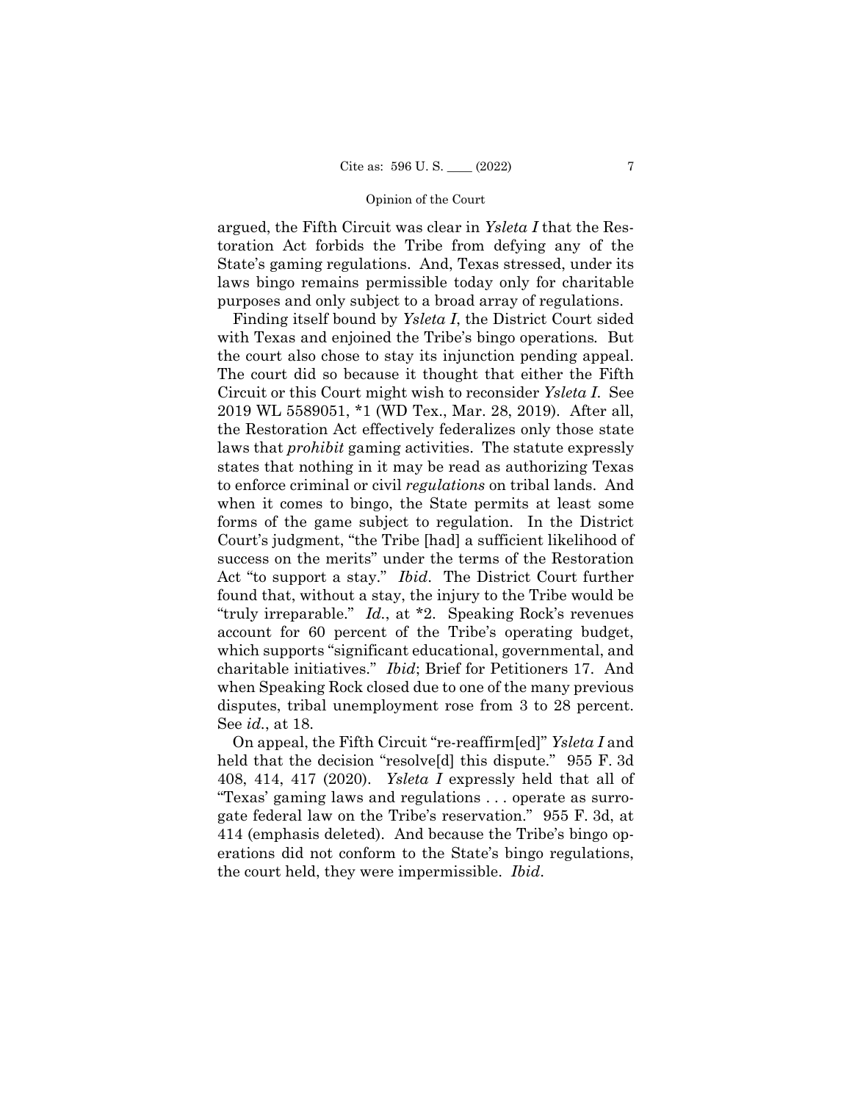argued, the Fifth Circuit was clear in *Ysleta I* that the Restoration Act forbids the Tribe from defying any of the State's gaming regulations. And, Texas stressed, under its laws bingo remains permissible today only for charitable purposes and only subject to a broad array of regulations.

Finding itself bound by *Ysleta I*, the District Court sided with Texas and enjoined the Tribe's bingo operations*.* But the court also chose to stay its injunction pending appeal. The court did so because it thought that either the Fifth Circuit or this Court might wish to reconsider *Ysleta I*. See 2019 WL 5589051, \*1 (WD Tex., Mar. 28, 2019). After all, the Restoration Act effectively federalizes only those state laws that *prohibit* gaming activities. The statute expressly states that nothing in it may be read as authorizing Texas to enforce criminal or civil *regulations* on tribal lands. And when it comes to bingo, the State permits at least some forms of the game subject to regulation. In the District Court's judgment, "the Tribe [had] a sufficient likelihood of success on the merits" under the terms of the Restoration Act "to support a stay." *Ibid*. The District Court further found that, without a stay, the injury to the Tribe would be "truly irreparable." *Id.*, at \*2. Speaking Rock's revenues account for 60 percent of the Tribe's operating budget, which supports "significant educational, governmental, and charitable initiatives." *Ibid*; Brief for Petitioners 17. And when Speaking Rock closed due to one of the many previous disputes, tribal unemployment rose from 3 to 28 percent. See *id.*, at 18.

On appeal, the Fifth Circuit "re-reaffirm[ed]" *Ysleta I* and held that the decision "resolve<sup>[d]</sup> this dispute." 955 F. 3d 408, 414, 417 (2020). *Ysleta I* expressly held that all of "Texas' gaming laws and regulations . . . operate as surrogate federal law on the Tribe's reservation." 955 F. 3d, at 414 (emphasis deleted). And because the Tribe's bingo operations did not conform to the State's bingo regulations, the court held, they were impermissible. *Ibid*.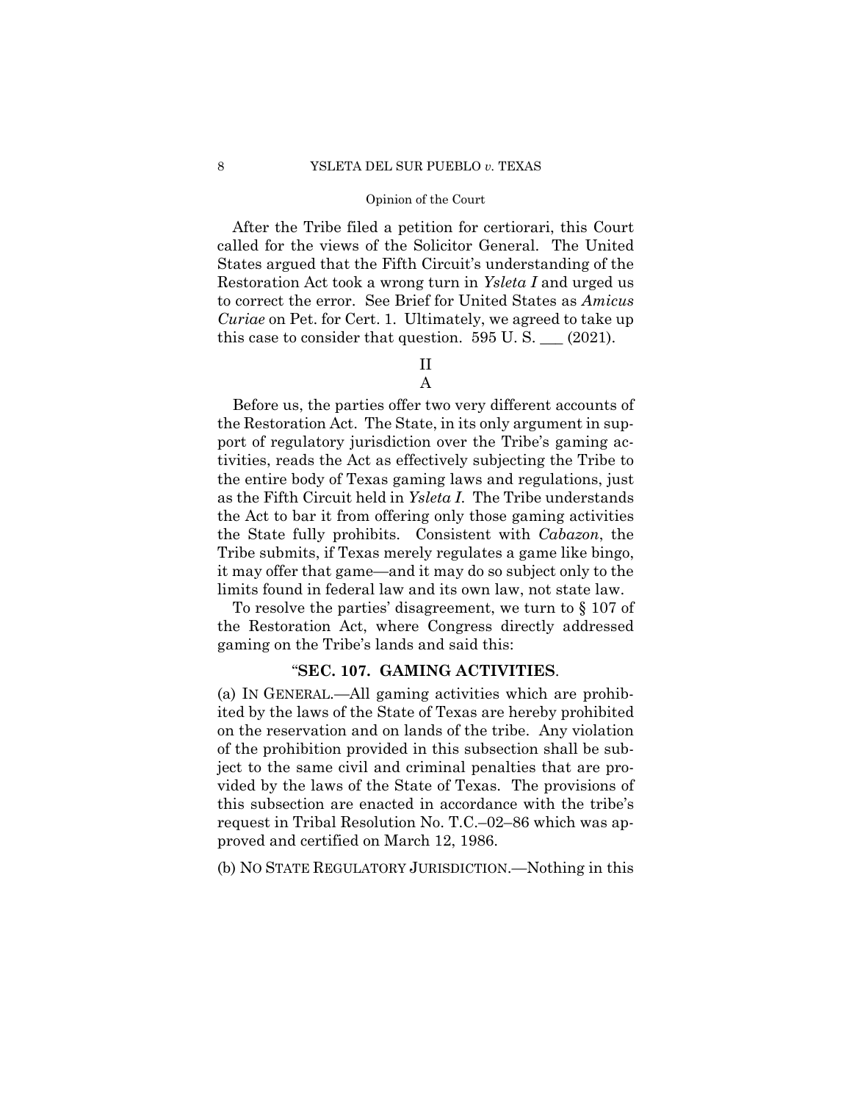After the Tribe filed a petition for certiorari, this Court called for the views of the Solicitor General. The United States argued that the Fifth Circuit's understanding of the Restoration Act took a wrong turn in *Ysleta I* and urged us to correct the error. See Brief for United States as *Amicus Curiae* on Pet. for Cert. 1. Ultimately, we agreed to take up this case to consider that question.  $595 \text{ U.S.}$   $\_\_ (2021)$ .

# II A

Before us, the parties offer two very different accounts of the Restoration Act. The State, in its only argument in support of regulatory jurisdiction over the Tribe's gaming activities, reads the Act as effectively subjecting the Tribe to the entire body of Texas gaming laws and regulations, just as the Fifth Circuit held in *Ysleta I*. The Tribe understands the Act to bar it from offering only those gaming activities the State fully prohibits. Consistent with *Cabazon*, the Tribe submits, if Texas merely regulates a game like bingo, it may offer that game—and it may do so subject only to the limits found in federal law and its own law, not state law.

To resolve the parties' disagreement, we turn to § 107 of the Restoration Act, where Congress directly addressed gaming on the Tribe's lands and said this:

# "**SEC. 107. GAMING ACTIVITIES**.

(a) IN GENERAL.—All gaming activities which are prohibited by the laws of the State of Texas are hereby prohibited on the reservation and on lands of the tribe. Any violation of the prohibition provided in this subsection shall be subject to the same civil and criminal penalties that are provided by the laws of the State of Texas. The provisions of this subsection are enacted in accordance with the tribe's request in Tribal Resolution No. T.C.–02–86 which was approved and certified on March 12, 1986.

(b) NO STATE REGULATORY JURISDICTION.—Nothing in this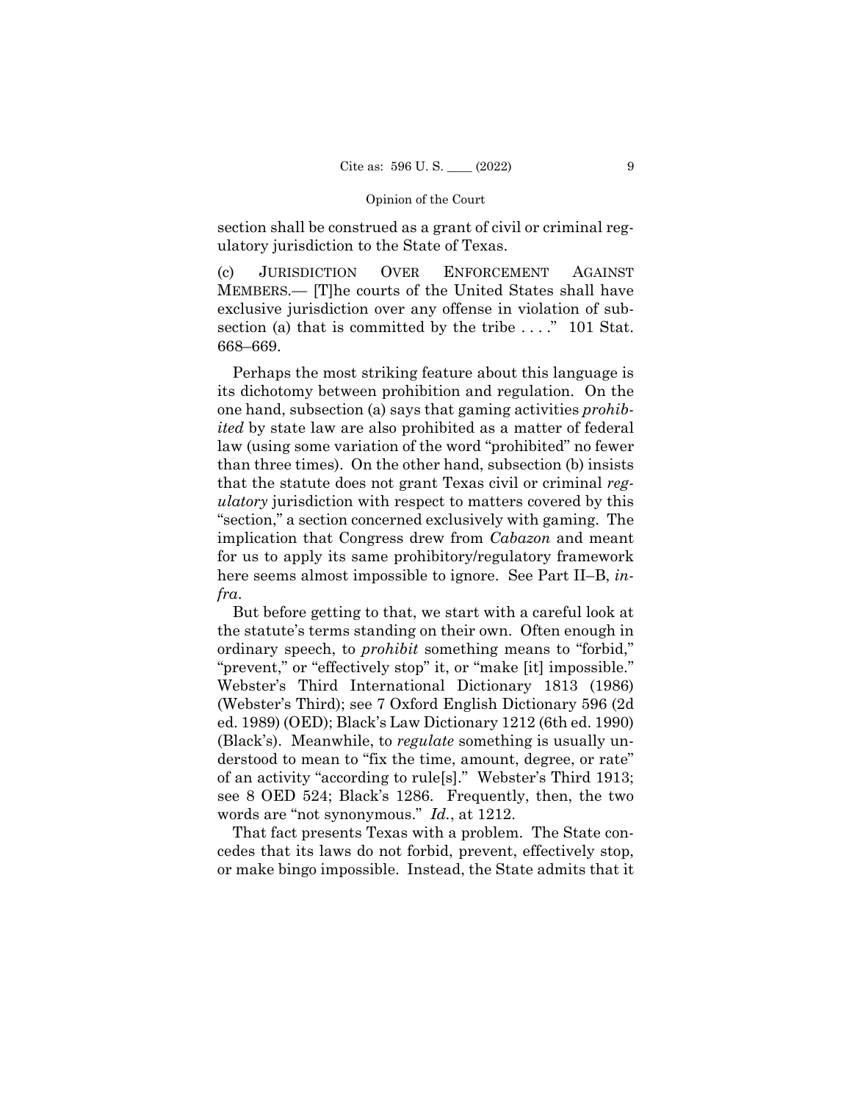section shall be construed as a grant of civil or criminal regulatory jurisdiction to the State of Texas.

(c) JURISDICTION OVER ENFORCEMENT AGAINST MEMBERS.— [T]he courts of the United States shall have exclusive jurisdiction over any offense in violation of subsection (a) that is committed by the tribe . . . ." 101 Stat. 668–669.

Perhaps the most striking feature about this language is its dichotomy between prohibition and regulation. On the one hand, subsection (a) says that gaming activities *prohibited* by state law are also prohibited as a matter of federal law (using some variation of the word "prohibited" no fewer than three times). On the other hand, subsection (b) insists that the statute does not grant Texas civil or criminal *regulatory* jurisdiction with respect to matters covered by this "section," a section concerned exclusively with gaming. The implication that Congress drew from *Cabazon* and meant for us to apply its same prohibitory/regulatory framework here seems almost impossible to ignore. See Part II–B, *infra*.

But before getting to that, we start with a careful look at the statute's terms standing on their own. Often enough in ordinary speech, to *prohibit* something means to "forbid," "prevent," or "effectively stop" it, or "make [it] impossible." Webster's Third International Dictionary 1813 (1986) (Webster's Third); see 7 Oxford English Dictionary 596 (2d ed. 1989) (OED); Black's Law Dictionary 1212 (6th ed. 1990) (Black's). Meanwhile, to *regulate* something is usually understood to mean to "fix the time, amount, degree, or rate" of an activity "according to rule[s]." Webster's Third 1913; see 8 OED 524; Black's 1286. Frequently, then, the two words are "not synonymous." *Id.*, at 1212.

That fact presents Texas with a problem. The State concedes that its laws do not forbid, prevent, effectively stop, or make bingo impossible. Instead, the State admits that it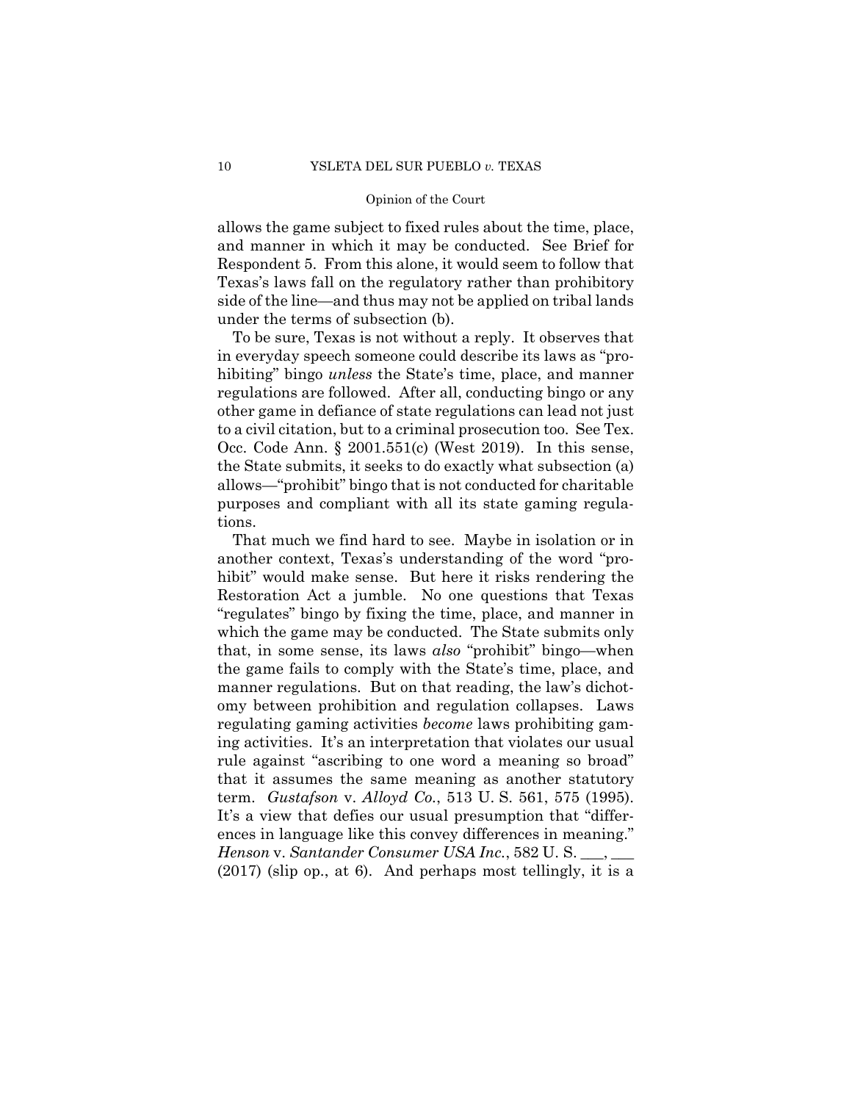allows the game subject to fixed rules about the time, place, and manner in which it may be conducted. See Brief for Respondent 5. From this alone, it would seem to follow that Texas's laws fall on the regulatory rather than prohibitory side of the line—and thus may not be applied on tribal lands under the terms of subsection (b).

To be sure, Texas is not without a reply. It observes that in everyday speech someone could describe its laws as "prohibiting" bingo *unless* the State's time, place, and manner regulations are followed. After all, conducting bingo or any other game in defiance of state regulations can lead not just to a civil citation, but to a criminal prosecution too. See Tex. Occ. Code Ann. § 2001.551(c) (West 2019). In this sense, the State submits, it seeks to do exactly what subsection (a) allows—"prohibit" bingo that is not conducted for charitable purposes and compliant with all its state gaming regulations.

 term. *Gustafson* v. *Alloyd Co.*, 513 U. S. 561, 575 (1995). That much we find hard to see. Maybe in isolation or in another context, Texas's understanding of the word "prohibit" would make sense. But here it risks rendering the Restoration Act a jumble. No one questions that Texas "regulates" bingo by fixing the time, place, and manner in which the game may be conducted. The State submits only that, in some sense, its laws *also* "prohibit" bingo—when the game fails to comply with the State's time, place, and manner regulations. But on that reading, the law's dichotomy between prohibition and regulation collapses. Laws regulating gaming activities *become* laws prohibiting gaming activities. It's an interpretation that violates our usual rule against "ascribing to one word a meaning so broad" that it assumes the same meaning as another statutory It's a view that defies our usual presumption that "differences in language like this convey differences in meaning." *Henson* v. *Santander Consumer USA Inc.*, 582 U. S. \_\_\_, \_\_\_ (2017) (slip op., at 6). And perhaps most tellingly, it is a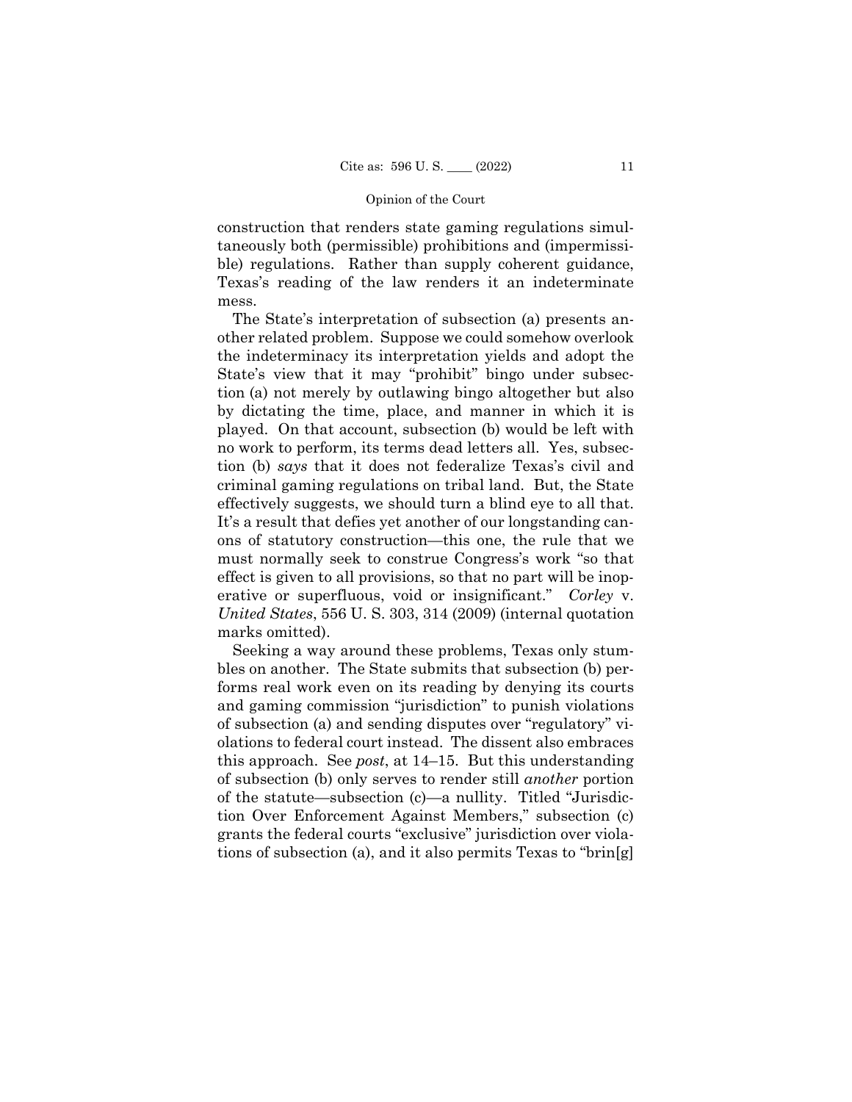construction that renders state gaming regulations simultaneously both (permissible) prohibitions and (impermissible) regulations. Rather than supply coherent guidance, Texas's reading of the law renders it an indeterminate mess.

The State's interpretation of subsection (a) presents another related problem. Suppose we could somehow overlook the indeterminacy its interpretation yields and adopt the State's view that it may "prohibit" bingo under subsection (a) not merely by outlawing bingo altogether but also by dictating the time, place, and manner in which it is played. On that account, subsection (b) would be left with no work to perform, its terms dead letters all. Yes, subsection (b) *says* that it does not federalize Texas's civil and criminal gaming regulations on tribal land. But, the State effectively suggests, we should turn a blind eye to all that. It's a result that defies yet another of our longstanding canons of statutory construction—this one, the rule that we must normally seek to construe Congress's work "so that effect is given to all provisions, so that no part will be inoperative or superfluous, void or insignificant." *Corley* v. *United States*, 556 U. S. 303, 314 (2009) (internal quotation marks omitted).

Seeking a way around these problems, Texas only stumbles on another. The State submits that subsection (b) performs real work even on its reading by denying its courts and gaming commission "jurisdiction" to punish violations of subsection (a) and sending disputes over "regulatory" violations to federal court instead. The dissent also embraces this approach. See *post*, at 14–15. But this understanding of subsection (b) only serves to render still *another* portion of the statute—subsection (c)—a nullity. Titled "Jurisdiction Over Enforcement Against Members," subsection (c) grants the federal courts "exclusive" jurisdiction over violations of subsection (a), and it also permits Texas to "brin[g]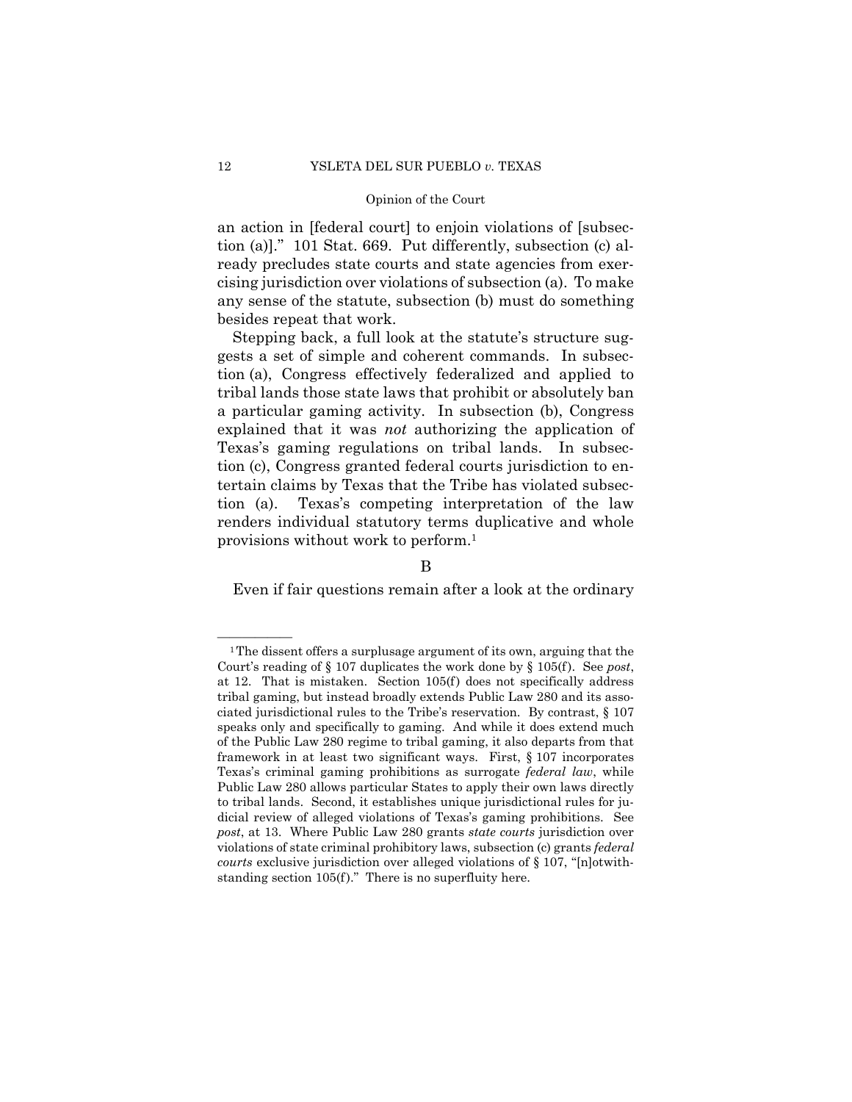an action in [federal court] to enjoin violations of [subsection (a)]." 101 Stat. 669. Put differently, subsection (c) already precludes state courts and state agencies from exercising jurisdiction over violations of subsection (a). To make any sense of the statute, subsection (b) must do something besides repeat that work.

 provisions without work to perform.1 Stepping back, a full look at the statute's structure suggests a set of simple and coherent commands. In subsection (a), Congress effectively federalized and applied to tribal lands those state laws that prohibit or absolutely ban a particular gaming activity. In subsection (b), Congress explained that it was *not* authorizing the application of Texas's gaming regulations on tribal lands. In subsection (c), Congress granted federal courts jurisdiction to entertain claims by Texas that the Tribe has violated subsection (a). Texas's competing interpretation of the law renders individual statutory terms duplicative and whole

# B

Even if fair questions remain after a look at the ordinary

at 12. That is mistaken. Section 105(f) does not specifically address  $1$ <sup>1</sup> The dissent offers a surplusage argument of its own, arguing that the Court's reading of § 107 duplicates the work done by § 105(f ). See *post*, tribal gaming, but instead broadly extends Public Law 280 and its associated jurisdictional rules to the Tribe's reservation. By contrast, § 107 speaks only and specifically to gaming. And while it does extend much of the Public Law 280 regime to tribal gaming, it also departs from that framework in at least two significant ways. First, § 107 incorporates Texas's criminal gaming prohibitions as surrogate *federal law*, while Public Law 280 allows particular States to apply their own laws directly to tribal lands. Second, it establishes unique jurisdictional rules for judicial review of alleged violations of Texas's gaming prohibitions. See *post*, at 13. Where Public Law 280 grants *state courts* jurisdiction over violations of state criminal prohibitory laws, subsection (c) grants *federal courts* exclusive jurisdiction over alleged violations of § 107, "[n]otwithstanding section 105(f)." There is no superfluity here.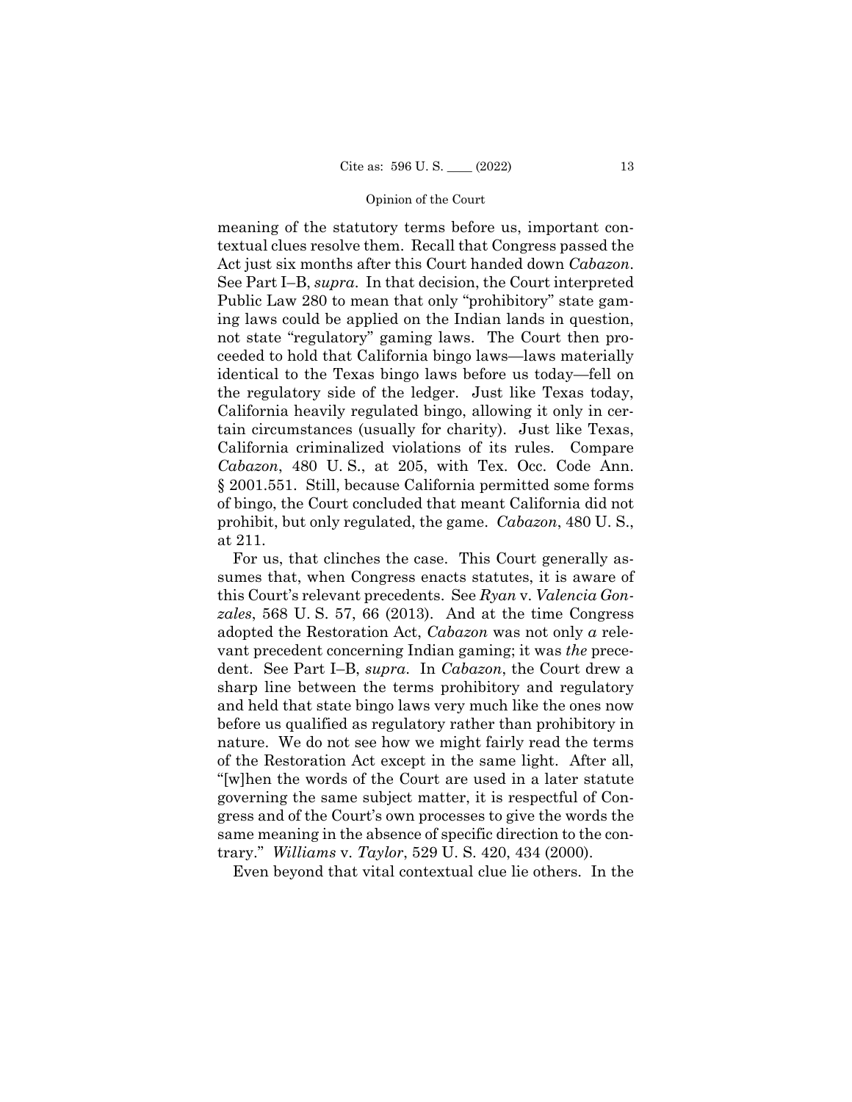the regulatory side of the ledger. Just like Texas today,  § 2001.551. Still, because California permitted some forms meaning of the statutory terms before us, important contextual clues resolve them. Recall that Congress passed the Act just six months after this Court handed down *Cabazon*. See Part I–B, *supra*. In that decision, the Court interpreted Public Law 280 to mean that only "prohibitory" state gaming laws could be applied on the Indian lands in question, not state "regulatory" gaming laws. The Court then proceeded to hold that California bingo laws—laws materially identical to the Texas bingo laws before us today—fell on California heavily regulated bingo, allowing it only in certain circumstances (usually for charity). Just like Texas, California criminalized violations of its rules. Compare *Cabazon*, 480 U. S., at 205, with Tex. Occ. Code Ann. of bingo, the Court concluded that meant California did not prohibit, but only regulated, the game. *Cabazon*, 480 U. S., at 211.

For us, that clinches the case. This Court generally assumes that, when Congress enacts statutes, it is aware of this Court's relevant precedents. See *Ryan* v. *Valencia Gonzales*, 568 U. S. 57, 66 (2013). And at the time Congress adopted the Restoration Act, *Cabazon* was not only *a* relevant precedent concerning Indian gaming; it was *the* precedent. See Part I–B, *supra*. In *Cabazon*, the Court drew a sharp line between the terms prohibitory and regulatory and held that state bingo laws very much like the ones now before us qualified as regulatory rather than prohibitory in nature. We do not see how we might fairly read the terms of the Restoration Act except in the same light. After all, "[w]hen the words of the Court are used in a later statute governing the same subject matter, it is respectful of Congress and of the Court's own processes to give the words the same meaning in the absence of specific direction to the contrary." *Williams* v. *Taylor*, 529 U. S. 420, 434 (2000).

Even beyond that vital contextual clue lie others. In the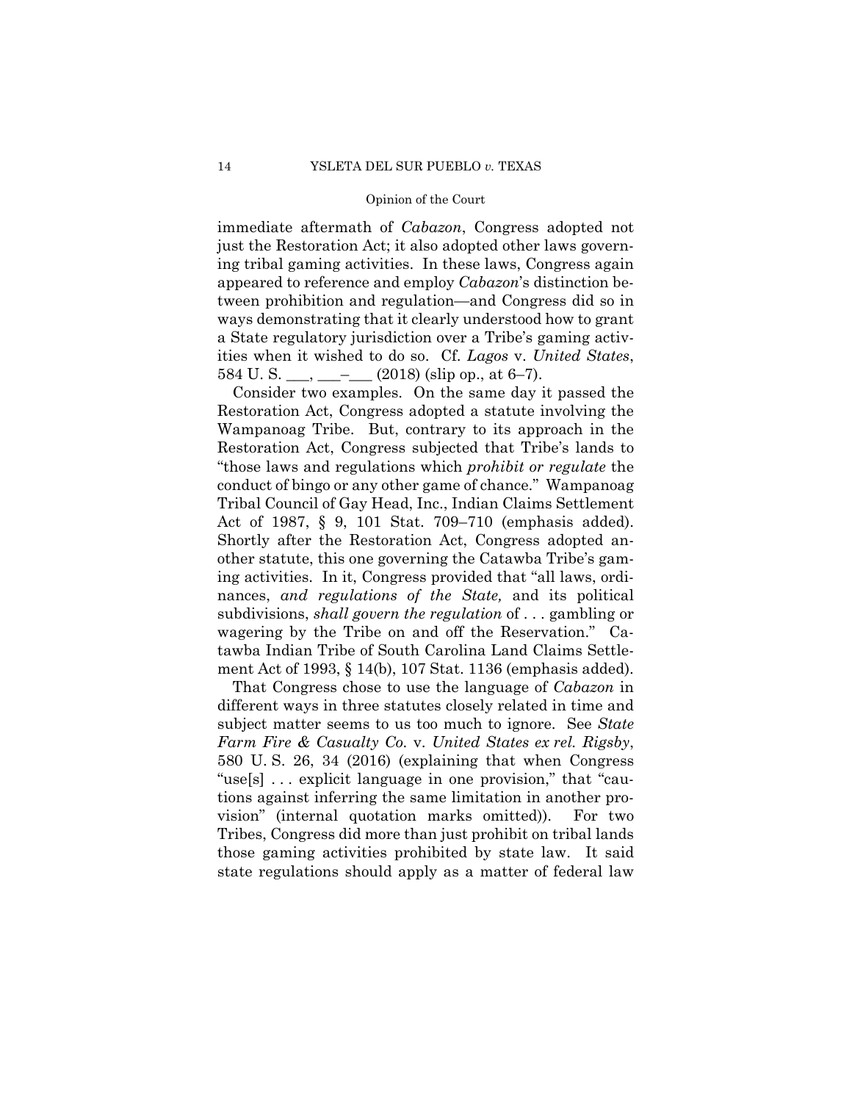immediate aftermath of *Cabazon*, Congress adopted not just the Restoration Act; it also adopted other laws governing tribal gaming activities. In these laws, Congress again appeared to reference and employ *Cabazon*'s distinction between prohibition and regulation—and Congress did so in ways demonstrating that it clearly understood how to grant a State regulatory jurisdiction over a Tribe's gaming activities when it wished to do so. Cf. *Lagos* v. *United States*, 584 U.S. \_\_\_, \_\_\_-  $(2018)$  (slip op., at 6–7).

 ment Act of 1993, § 14(b), 107 Stat. 1136 (emphasis added). Consider two examples. On the same day it passed the Restoration Act, Congress adopted a statute involving the Wampanoag Tribe. But, contrary to its approach in the Restoration Act, Congress subjected that Tribe's lands to "those laws and regulations which *prohibit or regulate* the conduct of bingo or any other game of chance." Wampanoag Tribal Council of Gay Head, Inc., Indian Claims Settlement Act of 1987, § 9, 101 Stat. 709–710 (emphasis added). Shortly after the Restoration Act, Congress adopted another statute, this one governing the Catawba Tribe's gaming activities. In it, Congress provided that "all laws, ordinances, *and regulations of the State,* and its political subdivisions, *shall govern the regulation* of . . . gambling or wagering by the Tribe on and off the Reservation." Catawba Indian Tribe of South Carolina Land Claims Settle-

That Congress chose to use the language of *Cabazon* in different ways in three statutes closely related in time and subject matter seems to us too much to ignore. See *State Farm Fire & Casualty Co.* v. *United States ex rel. Rigsby*, 580 U. S. 26, 34 (2016) (explaining that when Congress "use[s] . . . explicit language in one provision," that "cautions against inferring the same limitation in another provision" (internal quotation marks omitted)). For two Tribes, Congress did more than just prohibit on tribal lands those gaming activities prohibited by state law. It said state regulations should apply as a matter of federal law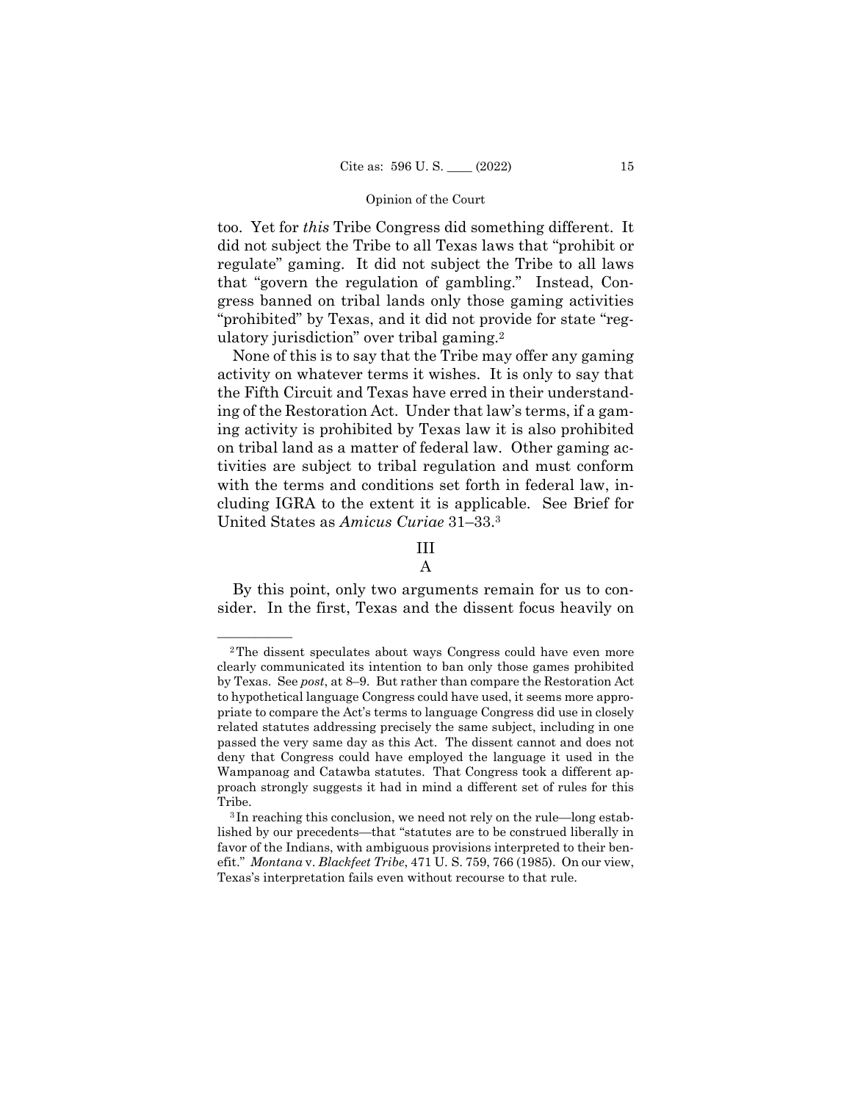ulatory jurisdiction" over tribal gaming.<sup>2</sup> too. Yet for *this* Tribe Congress did something different. It did not subject the Tribe to all Texas laws that "prohibit or regulate" gaming. It did not subject the Tribe to all laws that "govern the regulation of gambling." Instead, Congress banned on tribal lands only those gaming activities "prohibited" by Texas, and it did not provide for state "reg-

None of this is to say that the Tribe may offer any gaming activity on whatever terms it wishes. It is only to say that the Fifth Circuit and Texas have erred in their understanding of the Restoration Act. Under that law's terms, if a gaming activity is prohibited by Texas law it is also prohibited on tribal land as a matter of federal law. Other gaming activities are subject to tribal regulation and must conform with the terms and conditions set forth in federal law, including IGRA to the extent it is applicable. See Brief for United States as *Amicus Curiae* 31–33.3

# III A

By this point, only two arguments remain for us to consider. In the first, Texas and the dissent focus heavily on

<sup>&</sup>lt;sup>2</sup>The dissent speculates about ways Congress could have even more clearly communicated its intention to ban only those games prohibited by Texas. See *post*, at 8–9. But rather than compare the Restoration Act to hypothetical language Congress could have used, it seems more appropriate to compare the Act's terms to language Congress did use in closely related statutes addressing precisely the same subject, including in one passed the very same day as this Act. The dissent cannot and does not deny that Congress could have employed the language it used in the Wampanoag and Catawba statutes. That Congress took a different approach strongly suggests it had in mind a different set of rules for this Tribe.<br><sup>3</sup> In reaching this conclusion, we need not rely on the rule—long estab-

lished by our precedents—that "statutes are to be construed liberally in favor of the Indians, with ambiguous provisions interpreted to their benefit." *Montana* v. *Blackfeet Tribe*, 471 U. S. 759, 766 (1985). On our view, Texas's interpretation fails even without recourse to that rule.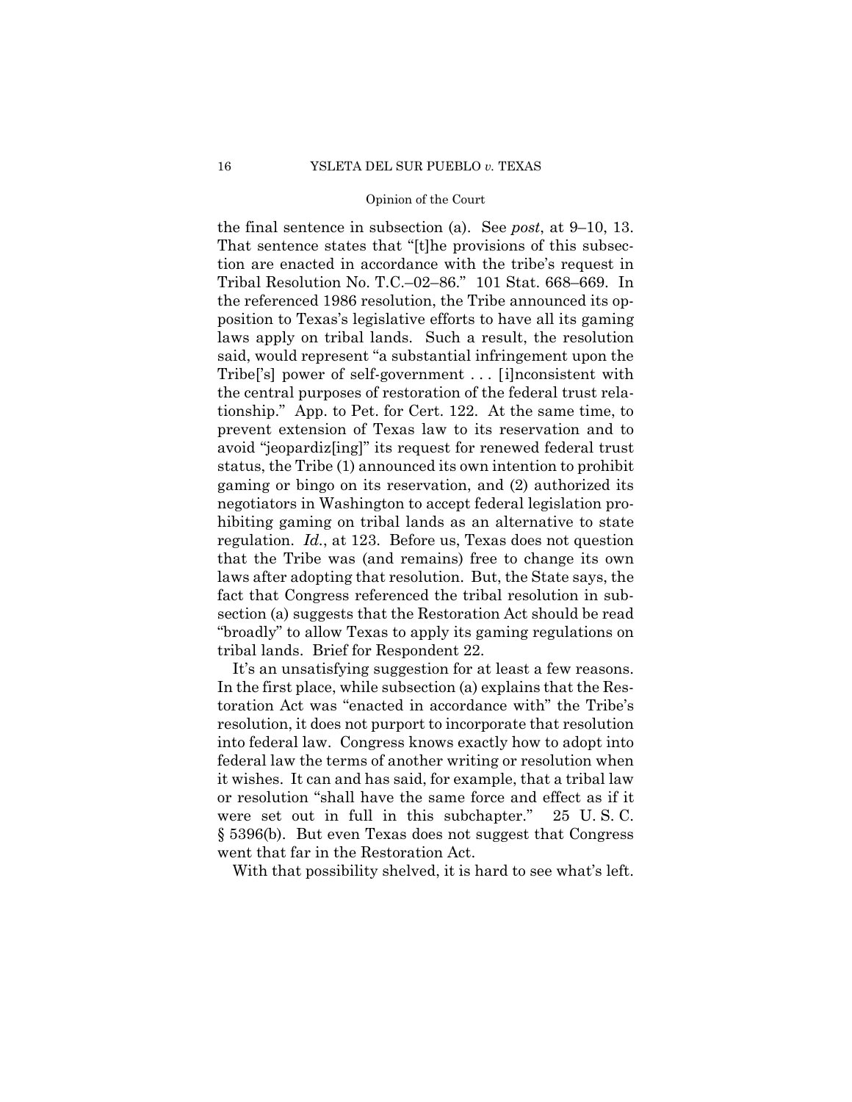the final sentence in subsection (a). See *post*, at 9–10, 13. That sentence states that "[t]he provisions of this subsection are enacted in accordance with the tribe's request in Tribal Resolution No. T.C.–02–86." 101 Stat. 668–669. In the referenced 1986 resolution, the Tribe announced its opposition to Texas's legislative efforts to have all its gaming laws apply on tribal lands. Such a result, the resolution said, would represent "a substantial infringement upon the Tribe['s] power of self-government . . . [i]nconsistent with the central purposes of restoration of the federal trust relationship." App. to Pet. for Cert. 122. At the same time, to prevent extension of Texas law to its reservation and to avoid "jeopardiz[ing]" its request for renewed federal trust status, the Tribe (1) announced its own intention to prohibit gaming or bingo on its reservation, and (2) authorized its negotiators in Washington to accept federal legislation prohibiting gaming on tribal lands as an alternative to state regulation. *Id.*, at 123. Before us, Texas does not question that the Tribe was (and remains) free to change its own laws after adopting that resolution. But, the State says, the fact that Congress referenced the tribal resolution in subsection (a) suggests that the Restoration Act should be read "broadly" to allow Texas to apply its gaming regulations on tribal lands. Brief for Respondent 22.

It's an unsatisfying suggestion for at least a few reasons. In the first place, while subsection (a) explains that the Restoration Act was "enacted in accordance with" the Tribe's resolution, it does not purport to incorporate that resolution into federal law. Congress knows exactly how to adopt into federal law the terms of another writing or resolution when it wishes. It can and has said, for example, that a tribal law or resolution "shall have the same force and effect as if it were set out in full in this subchapter." 25 U. S. C. § 5396(b). But even Texas does not suggest that Congress went that far in the Restoration Act.

With that possibility shelved, it is hard to see what's left.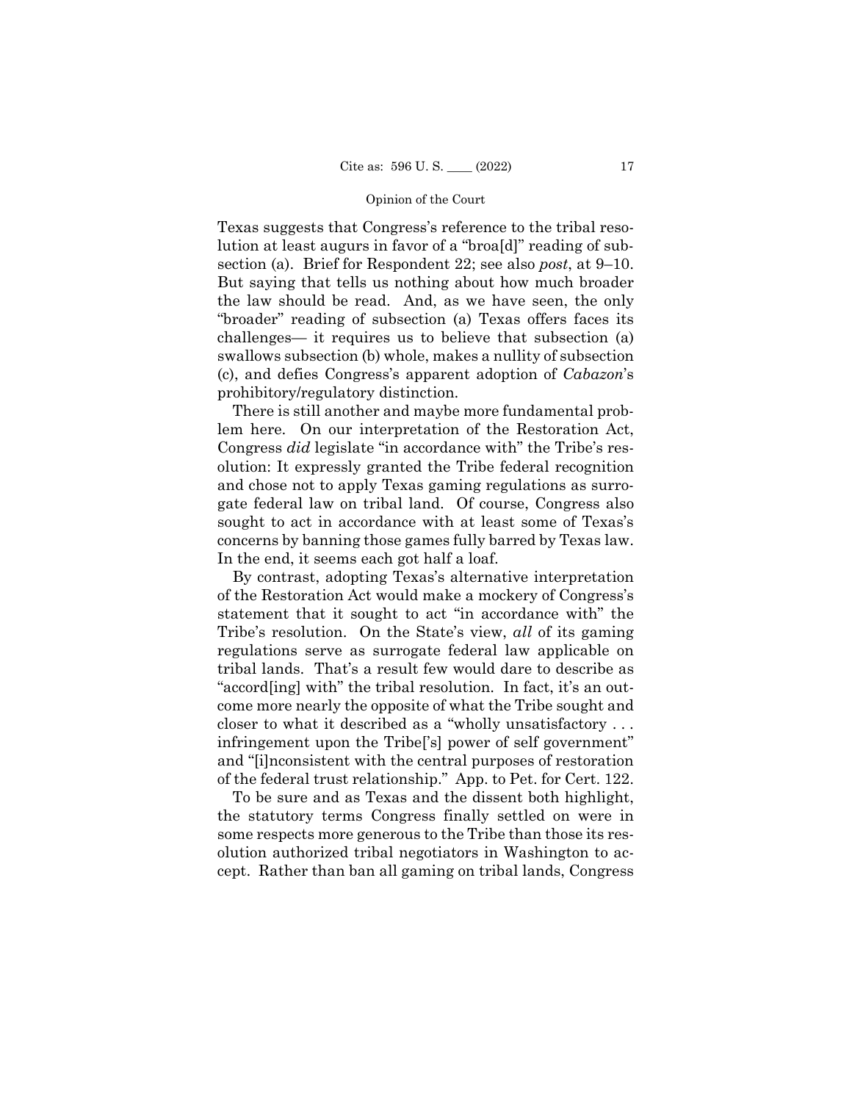section (a). Brief for Respondent 22; see also *post*, at 9–10. Texas suggests that Congress's reference to the tribal resolution at least augurs in favor of a "broa[d]" reading of sub-But saying that tells us nothing about how much broader the law should be read. And, as we have seen, the only "broader" reading of subsection (a) Texas offers faces its challenges— it requires us to believe that subsection (a) swallows subsection (b) whole, makes a nullity of subsection (c), and defies Congress's apparent adoption of *Cabazon*'s prohibitory/regulatory distinction.

There is still another and maybe more fundamental problem here. On our interpretation of the Restoration Act, Congress *did* legislate "in accordance with" the Tribe's resolution: It expressly granted the Tribe federal recognition and chose not to apply Texas gaming regulations as surrogate federal law on tribal land. Of course, Congress also sought to act in accordance with at least some of Texas's concerns by banning those games fully barred by Texas law. In the end, it seems each got half a loaf.

 closer to what it described as a "wholly unsatisfactory . . . By contrast, adopting Texas's alternative interpretation of the Restoration Act would make a mockery of Congress's statement that it sought to act "in accordance with" the Tribe's resolution. On the State's view, *all* of its gaming regulations serve as surrogate federal law applicable on tribal lands. That's a result few would dare to describe as "accord[ing] with" the tribal resolution. In fact, it's an outcome more nearly the opposite of what the Tribe sought and infringement upon the Tribe['s] power of self government" and "[i]nconsistent with the central purposes of restoration of the federal trust relationship." App. to Pet. for Cert. 122.

To be sure and as Texas and the dissent both highlight, the statutory terms Congress finally settled on were in some respects more generous to the Tribe than those its resolution authorized tribal negotiators in Washington to accept. Rather than ban all gaming on tribal lands, Congress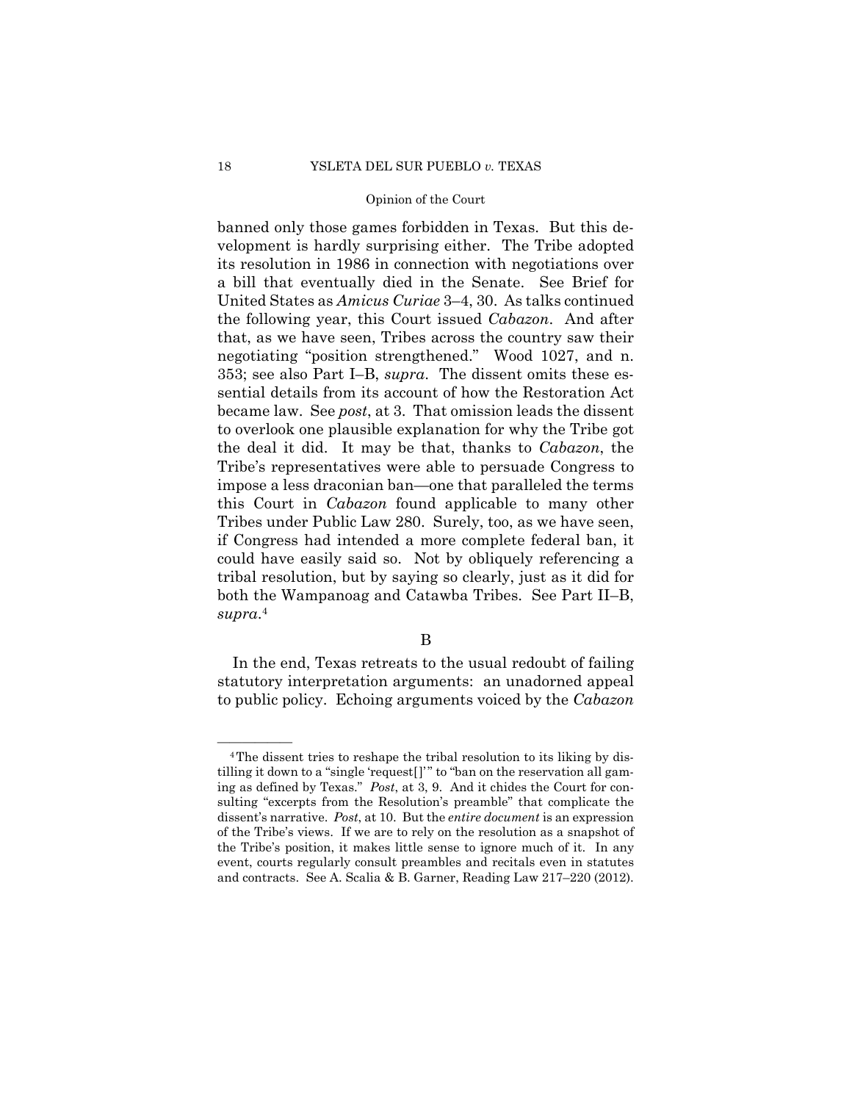<sup>4</sup> *supra*. banned only those games forbidden in Texas. But this development is hardly surprising either. The Tribe adopted its resolution in 1986 in connection with negotiations over a bill that eventually died in the Senate. See Brief for United States as *Amicus Curiae* 3–4, 30. As talks continued the following year, this Court issued *Cabazon*. And after that, as we have seen, Tribes across the country saw their negotiating "position strengthened." Wood 1027, and n. 353; see also Part I–B, *supra*. The dissent omits these essential details from its account of how the Restoration Act became law. See *post*, at 3. That omission leads the dissent to overlook one plausible explanation for why the Tribe got the deal it did. It may be that, thanks to *Cabazon*, the Tribe's representatives were able to persuade Congress to impose a less draconian ban—one that paralleled the terms this Court in *Cabazon* found applicable to many other Tribes under Public Law 280. Surely, too, as we have seen, if Congress had intended a more complete federal ban, it could have easily said so. Not by obliquely referencing a tribal resolution, but by saying so clearly, just as it did for both the Wampanoag and Catawba Tribes. See Part II–B,

In the end, Texas retreats to the usual redoubt of failing statutory interpretation arguments: an unadorned appeal to public policy. Echoing arguments voiced by the *Cabazon* 

 and contracts. See A. Scalia & B. Garner, Reading Law 217–220 (2012). <sup>4</sup>The dissent tries to reshape the tribal resolution to its liking by distilling it down to a "single 'request[]'" to "ban on the reservation all gaming as defined by Texas." *Post*, at 3, 9. And it chides the Court for consulting "excerpts from the Resolution's preamble" that complicate the dissent's narrative. *Post*, at 10. But the *entire document* is an expression of the Tribe's views. If we are to rely on the resolution as a snapshot of the Tribe's position, it makes little sense to ignore much of it. In any event, courts regularly consult preambles and recitals even in statutes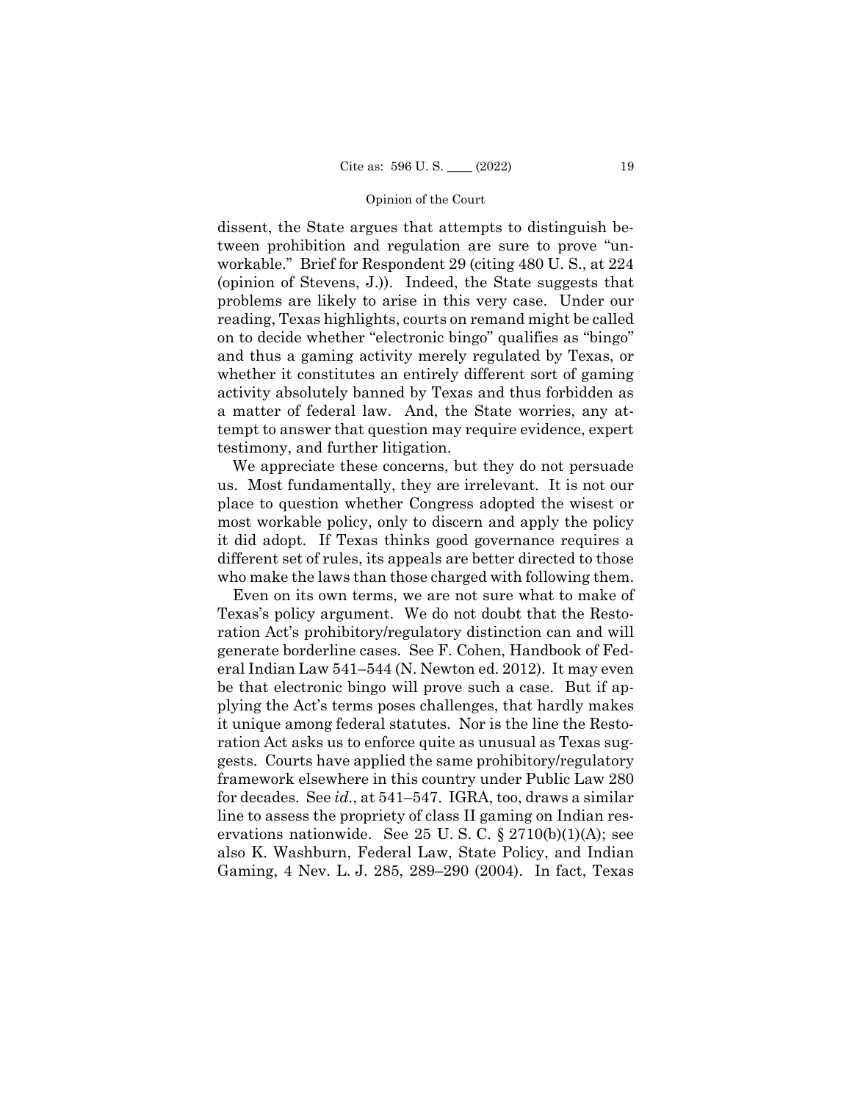dissent, the State argues that attempts to distinguish between prohibition and regulation are sure to prove "unworkable." Brief for Respondent 29 (citing 480 U. S., at 224 (opinion of Stevens, J.)). Indeed, the State suggests that problems are likely to arise in this very case. Under our reading, Texas highlights, courts on remand might be called on to decide whether "electronic bingo" qualifies as "bingo" and thus a gaming activity merely regulated by Texas, or whether it constitutes an entirely different sort of gaming activity absolutely banned by Texas and thus forbidden as a matter of federal law. And, the State worries, any attempt to answer that question may require evidence, expert testimony, and further litigation.

We appreciate these concerns, but they do not persuade us. Most fundamentally, they are irrelevant. It is not our place to question whether Congress adopted the wisest or most workable policy, only to discern and apply the policy it did adopt. If Texas thinks good governance requires a different set of rules, its appeals are better directed to those who make the laws than those charged with following them.

Even on its own terms, we are not sure what to make of Texas's policy argument. We do not doubt that the Restoration Act's prohibitory/regulatory distinction can and will generate borderline cases. See F. Cohen, Handbook of Federal Indian Law 541–544 (N. Newton ed. 2012). It may even be that electronic bingo will prove such a case. But if applying the Act's terms poses challenges, that hardly makes it unique among federal statutes. Nor is the line the Restoration Act asks us to enforce quite as unusual as Texas suggests. Courts have applied the same prohibitory/regulatory framework elsewhere in this country under Public Law 280 for decades. See *id.*, at 541–547. IGRA, too, draws a similar line to assess the propriety of class II gaming on Indian reservations nationwide. See 25 U.S.C.  $\S 2710(b)(1)(A)$ ; see also K. Washburn, Federal Law, State Policy, and Indian Gaming, 4 Nev. L. J. 285, 289–290 (2004). In fact, Texas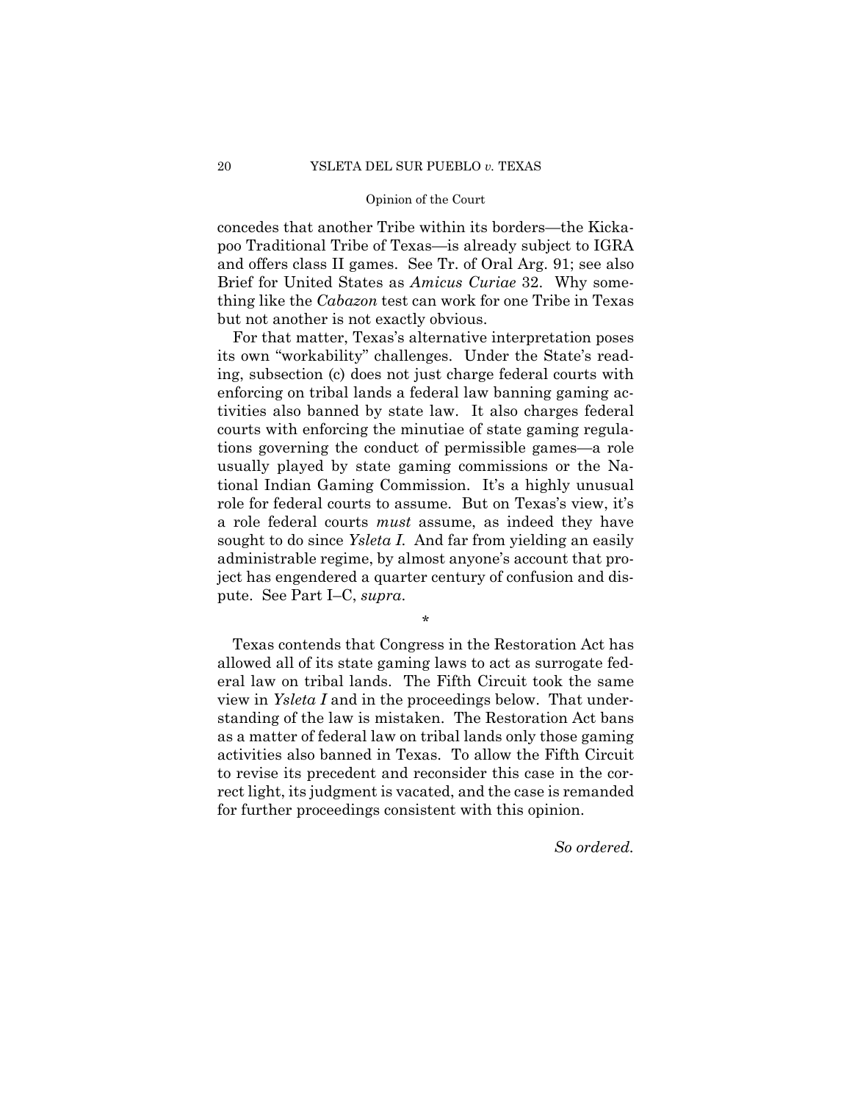Brief for United States as *Amicus Curiae* 32. Why someconcedes that another Tribe within its borders—the Kickapoo Traditional Tribe of Texas—is already subject to IGRA and offers class II games. See Tr. of Oral Arg. 91; see also thing like the *Cabazon* test can work for one Tribe in Texas but not another is not exactly obvious.

 role for federal courts to assume. But on Texas's view, it's For that matter, Texas's alternative interpretation poses its own "workability" challenges. Under the State's reading, subsection (c) does not just charge federal courts with enforcing on tribal lands a federal law banning gaming activities also banned by state law. It also charges federal courts with enforcing the minutiae of state gaming regulations governing the conduct of permissible games—a role usually played by state gaming commissions or the National Indian Gaming Commission. It's a highly unusual a role federal courts *must* assume, as indeed they have sought to do since *Ysleta I*. And far from yielding an easily administrable regime, by almost anyone's account that project has engendered a quarter century of confusion and dispute. See Part I–C, *supra*.

\*

Texas contends that Congress in the Restoration Act has allowed all of its state gaming laws to act as surrogate federal law on tribal lands. The Fifth Circuit took the same view in *Ysleta I* and in the proceedings below. That understanding of the law is mistaken. The Restoration Act bans as a matter of federal law on tribal lands only those gaming activities also banned in Texas. To allow the Fifth Circuit to revise its precedent and reconsider this case in the correct light, its judgment is vacated, and the case is remanded for further proceedings consistent with this opinion.

*So ordered.*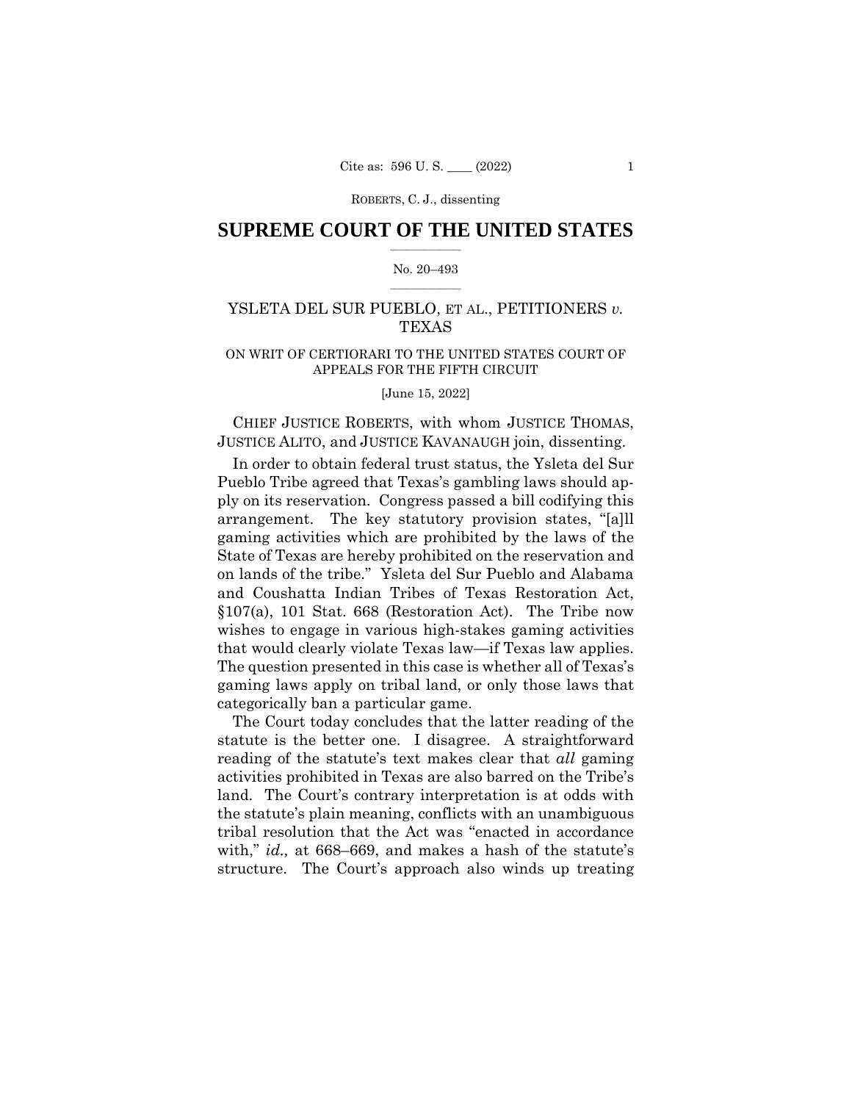# $\frac{1}{2}$  ,  $\frac{1}{2}$  ,  $\frac{1}{2}$  ,  $\frac{1}{2}$  ,  $\frac{1}{2}$  ,  $\frac{1}{2}$  ,  $\frac{1}{2}$ **SUPREME COURT OF THE UNITED STATES**

### $\frac{1}{2}$  ,  $\frac{1}{2}$  ,  $\frac{1}{2}$  ,  $\frac{1}{2}$  ,  $\frac{1}{2}$  ,  $\frac{1}{2}$ No. 20–493

# YSLETA DEL SUR PUEBLO, ET AL., PETITIONERS *v.*  TEXAS

# ON WRIT OF CERTIORARI TO THE UNITED STATES COURT OF APPEALS FOR THE FIFTH CIRCUIT

[June 15, 2022]

CHIEF JUSTICE ROBERTS, with whom JUSTICE THOMAS, JUSTICE ALITO, and JUSTICE KAVANAUGH join, dissenting.

In order to obtain federal trust status, the Ysleta del Sur Pueblo Tribe agreed that Texas's gambling laws should apply on its reservation. Congress passed a bill codifying this arrangement. The key statutory provision states, "[a]ll gaming activities which are prohibited by the laws of the State of Texas are hereby prohibited on the reservation and on lands of the tribe." Ysleta del Sur Pueblo and Alabama and Coushatta Indian Tribes of Texas Restoration Act, §107(a), 101 Stat. 668 (Restoration Act). The Tribe now wishes to engage in various high-stakes gaming activities that would clearly violate Texas law—if Texas law applies. The question presented in this case is whether all of Texas's gaming laws apply on tribal land, or only those laws that categorically ban a particular game.

The Court today concludes that the latter reading of the statute is the better one. I disagree. A straightforward reading of the statute's text makes clear that *all* gaming activities prohibited in Texas are also barred on the Tribe's land. The Court's contrary interpretation is at odds with the statute's plain meaning, conflicts with an unambiguous tribal resolution that the Act was "enacted in accordance with," *id.,* at 668–669, and makes a hash of the statute's structure. The Court's approach also winds up treating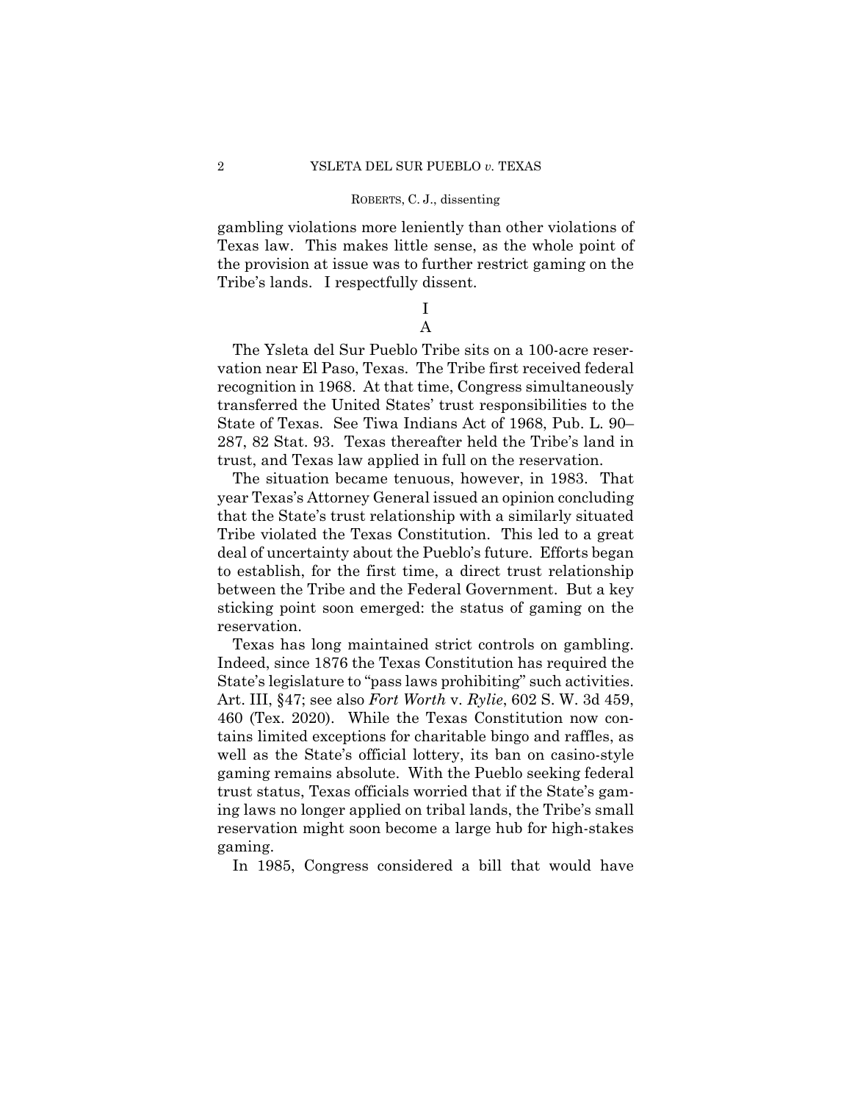gambling violations more leniently than other violations of Texas law. This makes little sense, as the whole point of the provision at issue was to further restrict gaming on the Tribe's lands. I respectfully dissent.

# I A

The Ysleta del Sur Pueblo Tribe sits on a 100-acre reservation near El Paso, Texas. The Tribe first received federal recognition in 1968. At that time, Congress simultaneously transferred the United States' trust responsibilities to the State of Texas. See Tiwa Indians Act of 1968, Pub. L. 90– 287, 82 Stat. 93. Texas thereafter held the Tribe's land in trust, and Texas law applied in full on the reservation.

The situation became tenuous, however, in 1983. That year Texas's Attorney General issued an opinion concluding that the State's trust relationship with a similarly situated Tribe violated the Texas Constitution. This led to a great deal of uncertainty about the Pueblo's future. Efforts began to establish, for the first time, a direct trust relationship between the Tribe and the Federal Government. But a key sticking point soon emerged: the status of gaming on the reservation.

Texas has long maintained strict controls on gambling. Indeed, since 1876 the Texas Constitution has required the State's legislature to "pass laws prohibiting" such activities. Art. III, §47; see also *Fort Worth* v. *Rylie*, 602 S. W. 3d 459, 460 (Tex. 2020). While the Texas Constitution now contains limited exceptions for charitable bingo and raffles, as well as the State's official lottery, its ban on casino-style gaming remains absolute. With the Pueblo seeking federal trust status, Texas officials worried that if the State's gaming laws no longer applied on tribal lands, the Tribe's small reservation might soon become a large hub for high-stakes gaming.

In 1985, Congress considered a bill that would have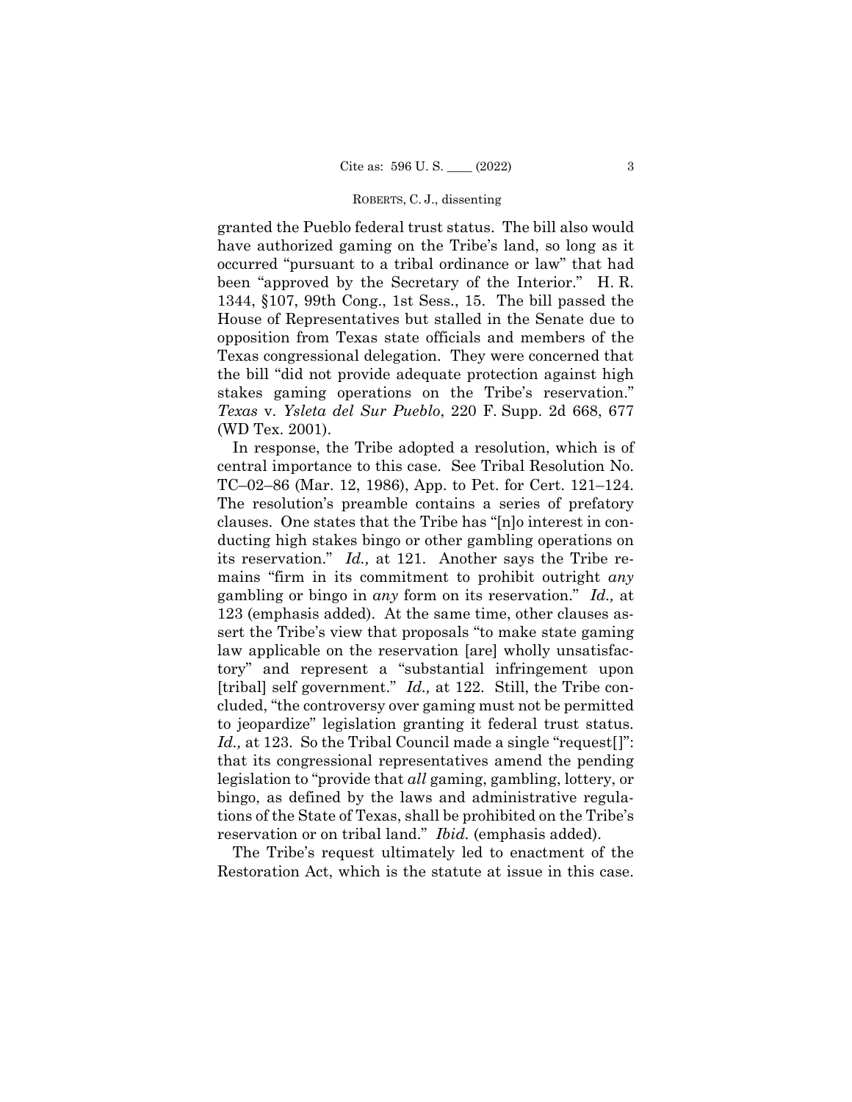granted the Pueblo federal trust status. The bill also would have authorized gaming on the Tribe's land, so long as it occurred "pursuant to a tribal ordinance or law" that had been "approved by the Secretary of the Interior." H. R. 1344, §107, 99th Cong., 1st Sess., 15. The bill passed the House of Representatives but stalled in the Senate due to opposition from Texas state officials and members of the Texas congressional delegation. They were concerned that the bill "did not provide adequate protection against high stakes gaming operations on the Tribe's reservation." *Texas* v. *Ysleta del Sur Pueblo*, 220 F. Supp. 2d 668, 677 (WD Tex. 2001).

[tribal] self government." *Id.*, at 122. Still, the Tribe con-Id., at 123. So the Tribal Council made a single "request[]": In response, the Tribe adopted a resolution, which is of central importance to this case. See Tribal Resolution No. TC–02–86 (Mar. 12, 1986), App. to Pet. for Cert. 121–124. The resolution's preamble contains a series of prefatory clauses. One states that the Tribe has "[n]o interest in conducting high stakes bingo or other gambling operations on its reservation." *Id.,* at 121. Another says the Tribe remains "firm in its commitment to prohibit outright *any* gambling or bingo in *any* form on its reservation." *Id.,* at 123 (emphasis added). At the same time, other clauses assert the Tribe's view that proposals "to make state gaming law applicable on the reservation [are] wholly unsatisfactory" and represent a "substantial infringement upon cluded, "the controversy over gaming must not be permitted to jeopardize" legislation granting it federal trust status. that its congressional representatives amend the pending legislation to "provide that *all* gaming, gambling, lottery, or bingo, as defined by the laws and administrative regulations of the State of Texas, shall be prohibited on the Tribe's reservation or on tribal land." *Ibid.* (emphasis added).

The Tribe's request ultimately led to enactment of the Restoration Act, which is the statute at issue in this case.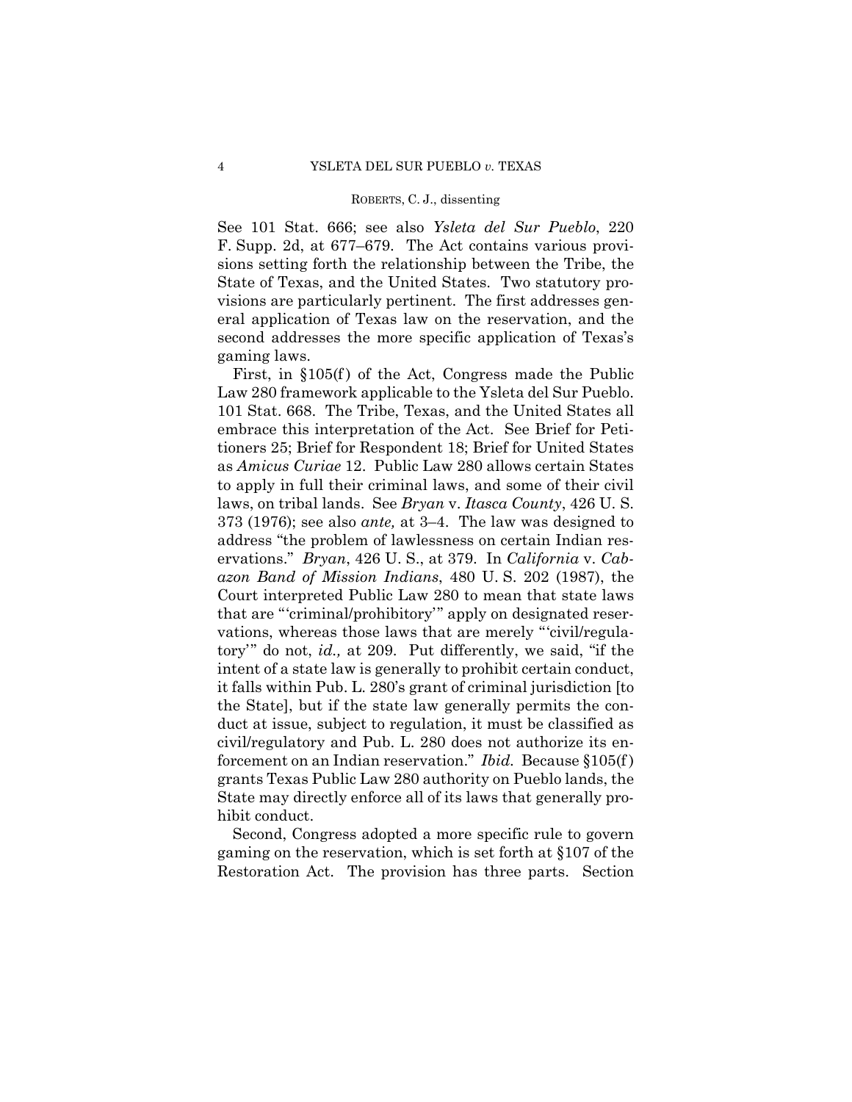See 101 Stat. 666; see also *Ysleta del Sur Pueblo*, 220 F. Supp. 2d, at 677–679. The Act contains various provisions setting forth the relationship between the Tribe, the State of Texas, and the United States. Two statutory provisions are particularly pertinent. The first addresses general application of Texas law on the reservation, and the second addresses the more specific application of Texas's gaming laws.

First, in  $$105(f)$  of the Act, Congress made the Public Law 280 framework applicable to the Ysleta del Sur Pueblo. 101 Stat. 668. The Tribe, Texas, and the United States all embrace this interpretation of the Act. See Brief for Petitioners 25; Brief for Respondent 18; Brief for United States as *Amicus Curiae* 12. Public Law 280 allows certain States to apply in full their criminal laws, and some of their civil laws, on tribal lands. See *Bryan* v. *Itasca County*, 426 U. S. 373 (1976); see also *ante,* at 3–4. The law was designed to address "the problem of lawlessness on certain Indian reservations." *Bryan*, 426 U. S., at 379. In *California* v. *Cabazon Band of Mission Indians*, 480 U. S. 202 (1987), the Court interpreted Public Law 280 to mean that state laws that are "'criminal/prohibitory'" apply on designated reservations, whereas those laws that are merely "'civil/regulatory'" do not, *id.,* at 209. Put differently, we said, "if the intent of a state law is generally to prohibit certain conduct, it falls within Pub. L. 280's grant of criminal jurisdiction [to the State], but if the state law generally permits the conduct at issue, subject to regulation, it must be classified as civil/regulatory and Pub. L. 280 does not authorize its enforcement on an Indian reservation." *Ibid.* Because §105(f ) grants Texas Public Law 280 authority on Pueblo lands, the State may directly enforce all of its laws that generally prohibit conduct.

Second, Congress adopted a more specific rule to govern gaming on the reservation, which is set forth at §107 of the Restoration Act. The provision has three parts. Section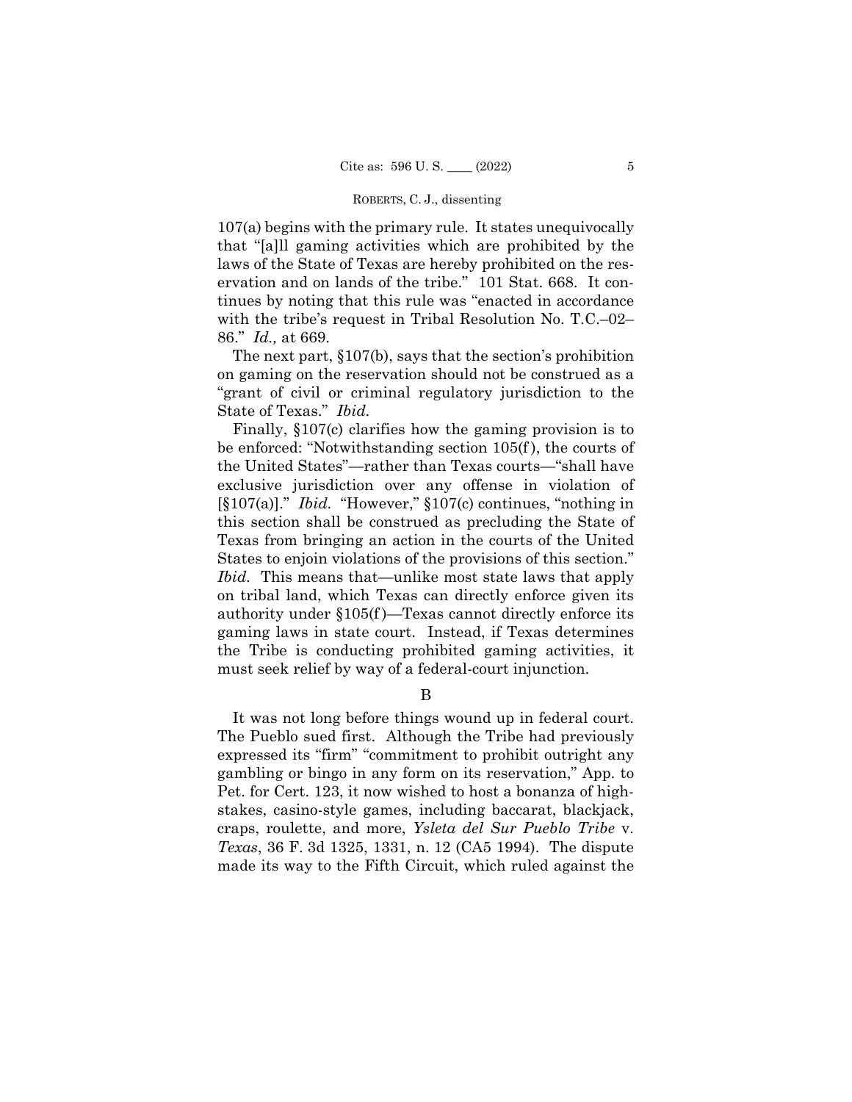107(a) begins with the primary rule. It states unequivocally that "[a]ll gaming activities which are prohibited by the laws of the State of Texas are hereby prohibited on the reservation and on lands of the tribe." 101 Stat. 668. It continues by noting that this rule was "enacted in accordance with the tribe's request in Tribal Resolution No. T.C.–02– 86." *Id.,* at 669.

The next part, §107(b), says that the section's prohibition on gaming on the reservation should not be construed as a "grant of civil or criminal regulatory jurisdiction to the State of Texas." *Ibid.* 

Finally, §107(c) clarifies how the gaming provision is to be enforced: "Notwithstanding section 105(f ), the courts of the United States"—rather than Texas courts—"shall have exclusive jurisdiction over any offense in violation of [§107(a)]." *Ibid.* "However," §107(c) continues, "nothing in this section shall be construed as precluding the State of Texas from bringing an action in the courts of the United States to enjoin violations of the provisions of this section." *Ibid.* This means that—unlike most state laws that apply on tribal land, which Texas can directly enforce given its authority under §105(f )—Texas cannot directly enforce its gaming laws in state court. Instead, if Texas determines the Tribe is conducting prohibited gaming activities, it must seek relief by way of a federal-court injunction.

B

It was not long before things wound up in federal court. The Pueblo sued first. Although the Tribe had previously expressed its "firm" "commitment to prohibit outright any gambling or bingo in any form on its reservation," App. to Pet. for Cert. 123, it now wished to host a bonanza of highstakes, casino-style games, including baccarat, blackjack, craps, roulette, and more, *Ysleta del Sur Pueblo Tribe* v. *Texas*, 36 F. 3d 1325, 1331, n. 12 (CA5 1994). The dispute made its way to the Fifth Circuit, which ruled against the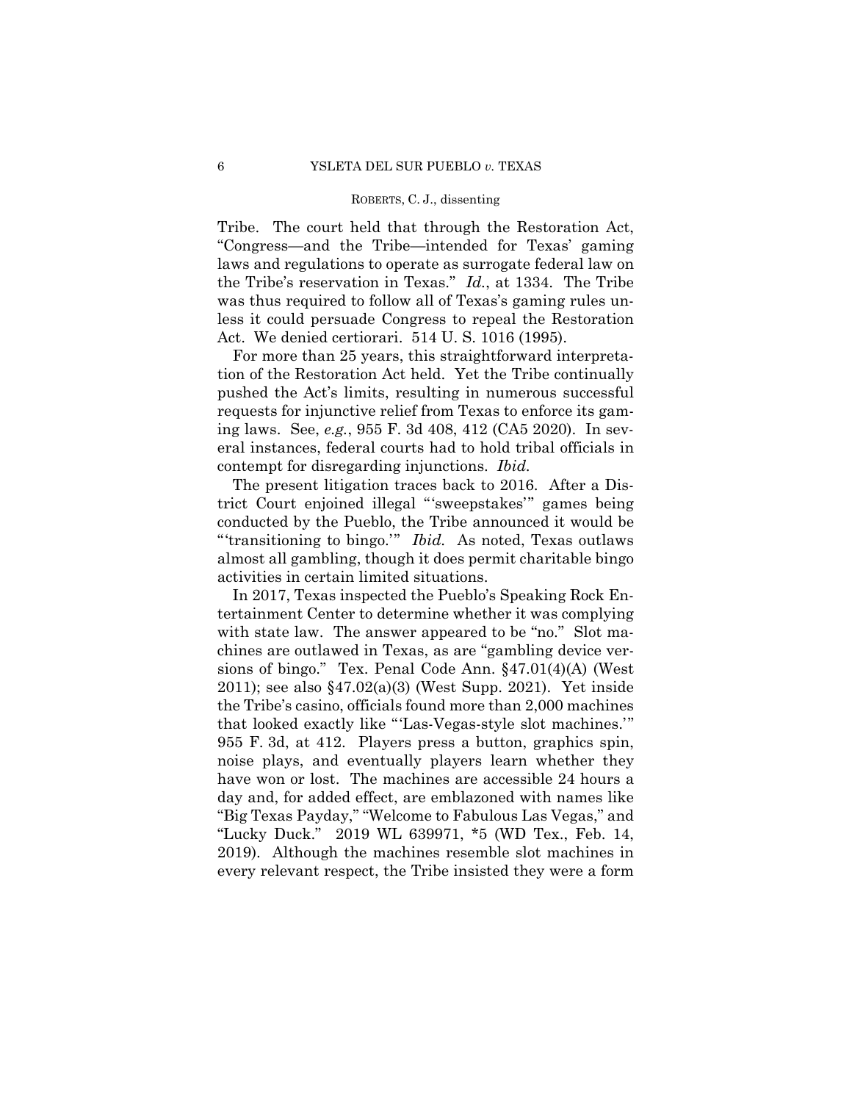Tribe. The court held that through the Restoration Act, "Congress—and the Tribe—intended for Texas' gaming laws and regulations to operate as surrogate federal law on the Tribe's reservation in Texas." *Id.*, at 1334. The Tribe was thus required to follow all of Texas's gaming rules unless it could persuade Congress to repeal the Restoration Act. We denied certiorari. 514 U. S. 1016 (1995).

For more than 25 years, this straightforward interpretation of the Restoration Act held. Yet the Tribe continually pushed the Act's limits, resulting in numerous successful requests for injunctive relief from Texas to enforce its gaming laws. See, *e.g.*, 955 F. 3d 408, 412 (CA5 2020). In several instances, federal courts had to hold tribal officials in contempt for disregarding injunctions. *Ibid.* 

The present litigation traces back to 2016. After a District Court enjoined illegal "'sweepstakes'" games being conducted by the Pueblo, the Tribe announced it would be "'transitioning to bingo.'" *Ibid.* As noted, Texas outlaws almost all gambling, though it does permit charitable bingo activities in certain limited situations.

2019). Although the machines resemble slot machines in In 2017, Texas inspected the Pueblo's Speaking Rock Entertainment Center to determine whether it was complying with state law. The answer appeared to be "no." Slot machines are outlawed in Texas, as are "gambling device versions of bingo." Tex. Penal Code Ann. §47.01(4)(A) (West 2011); see also §47.02(a)(3) (West Supp. 2021). Yet inside the Tribe's casino, officials found more than 2,000 machines that looked exactly like "'Las-Vegas-style slot machines.'" 955 F. 3d, at 412. Players press a button, graphics spin, noise plays, and eventually players learn whether they have won or lost. The machines are accessible 24 hours a day and, for added effect, are emblazoned with names like "Big Texas Payday," "Welcome to Fabulous Las Vegas," and "Lucky Duck." 2019 WL 639971, \*5 (WD Tex., Feb. 14, every relevant respect, the Tribe insisted they were a form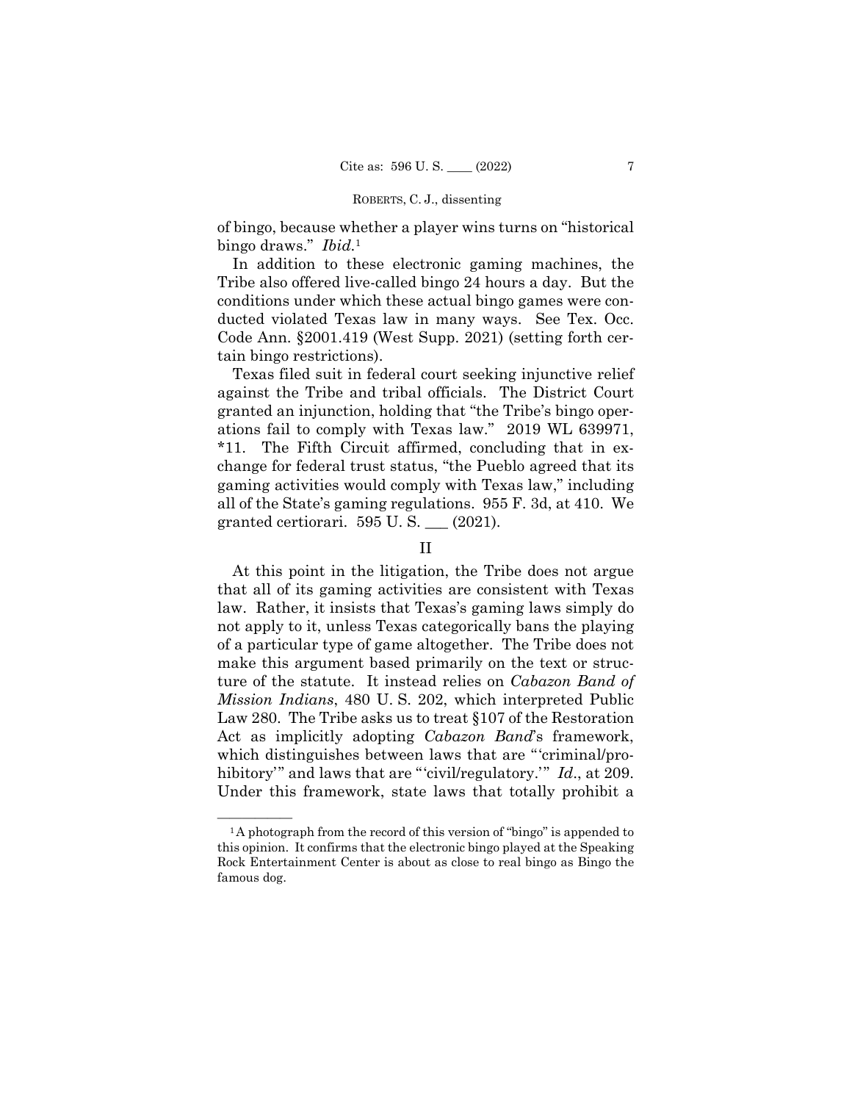of bingo, because whether a player wins turns on "historical bingo draws." *Ibid.*<sup>1</sup>

In addition to these electronic gaming machines, the Tribe also offered live-called bingo 24 hours a day. But the conditions under which these actual bingo games were conducted violated Texas law in many ways. See Tex. Occ. Code Ann. §2001.419 (West Supp. 2021) (setting forth certain bingo restrictions).

Texas filed suit in federal court seeking injunctive relief against the Tribe and tribal officials. The District Court granted an injunction, holding that "the Tribe's bingo operations fail to comply with Texas law." 2019 WL 639971, \*11. The Fifth Circuit affirmed, concluding that in exchange for federal trust status, "the Pueblo agreed that its gaming activities would comply with Texas law," including all of the State's gaming regulations. 955 F. 3d, at 410. We granted certiorari. 595 U. S. \_\_\_ (2021).

# II

At this point in the litigation, the Tribe does not argue that all of its gaming activities are consistent with Texas law. Rather, it insists that Texas's gaming laws simply do not apply to it, unless Texas categorically bans the playing of a particular type of game altogether. The Tribe does not make this argument based primarily on the text or structure of the statute. It instead relies on *Cabazon Band of Mission Indians*, 480 U. S. 202, which interpreted Public Law 280. The Tribe asks us to treat §107 of the Restoration Act as implicitly adopting *Cabazon Band*'s framework, which distinguishes between laws that are "'criminal/prohibitory'" and laws that are "'civil/regulatory.'" *Id.*, at 209. Under this framework, state laws that totally prohibit a

<sup>&</sup>lt;sup>1</sup>A photograph from the record of this version of "bingo" is appended to this opinion. It confirms that the electronic bingo played at the Speaking Rock Entertainment Center is about as close to real bingo as Bingo the famous dog.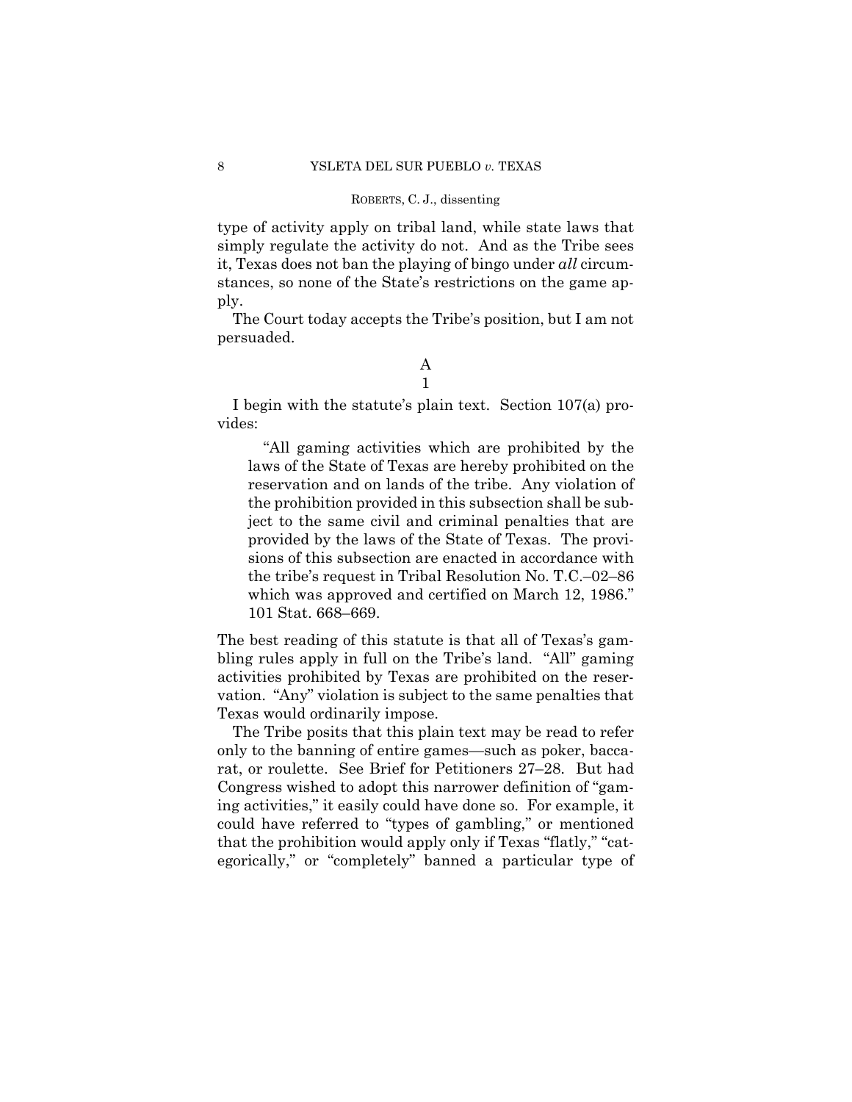type of activity apply on tribal land, while state laws that simply regulate the activity do not. And as the Tribe sees it, Texas does not ban the playing of bingo under *all* circumstances, so none of the State's restrictions on the game apply.

The Court today accepts the Tribe's position, but I am not persuaded.

# A

1

I begin with the statute's plain text. Section 107(a) provides:

"All gaming activities which are prohibited by the laws of the State of Texas are hereby prohibited on the reservation and on lands of the tribe. Any violation of the prohibition provided in this subsection shall be subject to the same civil and criminal penalties that are provided by the laws of the State of Texas. The provisions of this subsection are enacted in accordance with the tribe's request in Tribal Resolution No. T.C.–02–86 which was approved and certified on March 12, 1986." 101 Stat. 668–669.

The best reading of this statute is that all of Texas's gambling rules apply in full on the Tribe's land. "All" gaming activities prohibited by Texas are prohibited on the reservation. "Any" violation is subject to the same penalties that Texas would ordinarily impose.

The Tribe posits that this plain text may be read to refer only to the banning of entire games—such as poker, baccarat, or roulette. See Brief for Petitioners 27–28. But had Congress wished to adopt this narrower definition of "gaming activities," it easily could have done so. For example, it could have referred to "types of gambling," or mentioned that the prohibition would apply only if Texas "flatly," "categorically," or "completely" banned a particular type of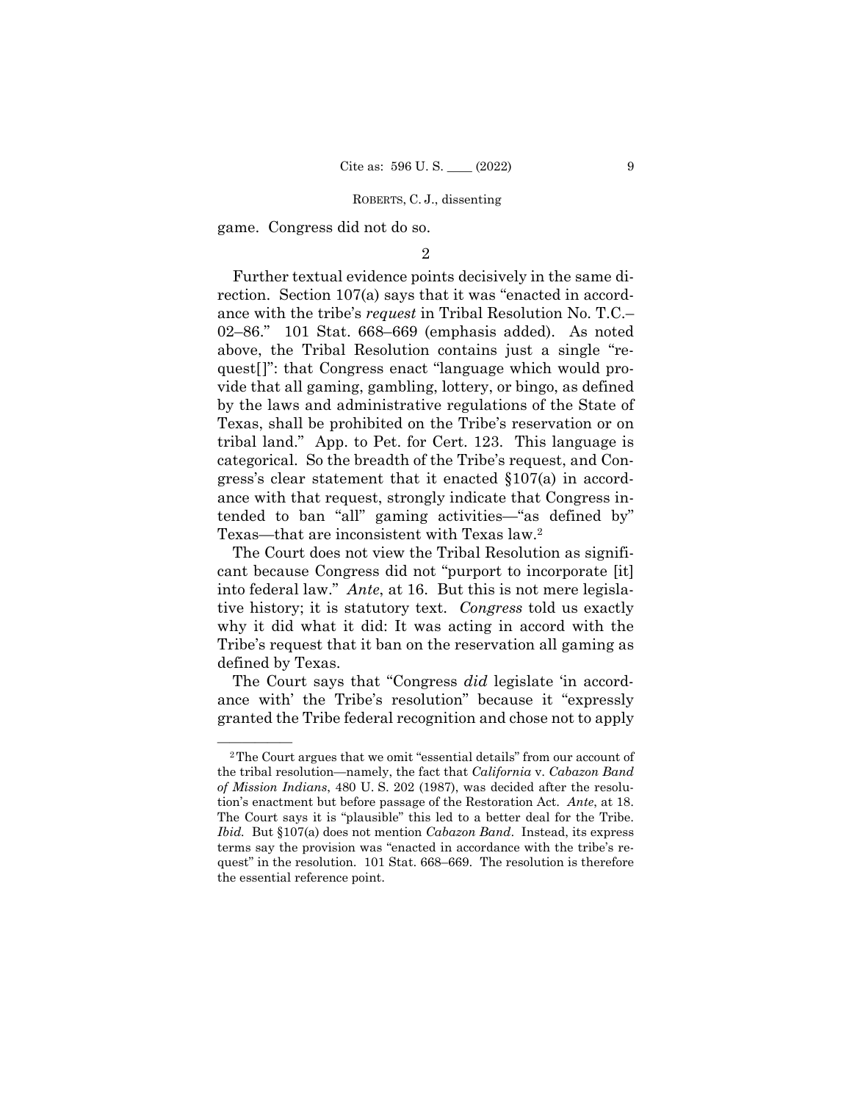game. Congress did not do so.

## 2

Further textual evidence points decisively in the same direction. Section 107(a) says that it was "enacted in accordance with the tribe's *request* in Tribal Resolution No. T.C.– 02–86." 101 Stat. 668–669 (emphasis added). As noted above, the Tribal Resolution contains just a single "request[]": that Congress enact "language which would provide that all gaming, gambling, lottery, or bingo, as defined by the laws and administrative regulations of the State of Texas, shall be prohibited on the Tribe's reservation or on tribal land." App. to Pet. for Cert. 123. This language is categorical. So the breadth of the Tribe's request, and Congress's clear statement that it enacted §107(a) in accordance with that request, strongly indicate that Congress intended to ban "all" gaming activities—"as defined by" Texas—that are inconsistent with Texas law.2

The Court does not view the Tribal Resolution as significant because Congress did not "purport to incorporate [it] into federal law." *Ante*, at 16. But this is not mere legislative history; it is statutory text. *Congress* told us exactly why it did what it did: It was acting in accord with the Tribe's request that it ban on the reservation all gaming as defined by Texas.

The Court says that "Congress *did* legislate 'in accordance with' the Tribe's resolution" because it "expressly granted the Tribe federal recognition and chose not to apply

<sup>&</sup>lt;sup>2</sup>The Court argues that we omit "essential details" from our account of the tribal resolution—namely, the fact that *California* v. *Cabazon Band of Mission Indians*, 480 U. S. 202 (1987), was decided after the resolution's enactment but before passage of the Restoration Act. *Ante*, at 18. The Court says it is "plausible" this led to a better deal for the Tribe. *Ibid.* But §107(a) does not mention *Cabazon Band*. Instead, its express terms say the provision was "enacted in accordance with the tribe's request" in the resolution. 101 Stat. 668–669. The resolution is therefore the essential reference point.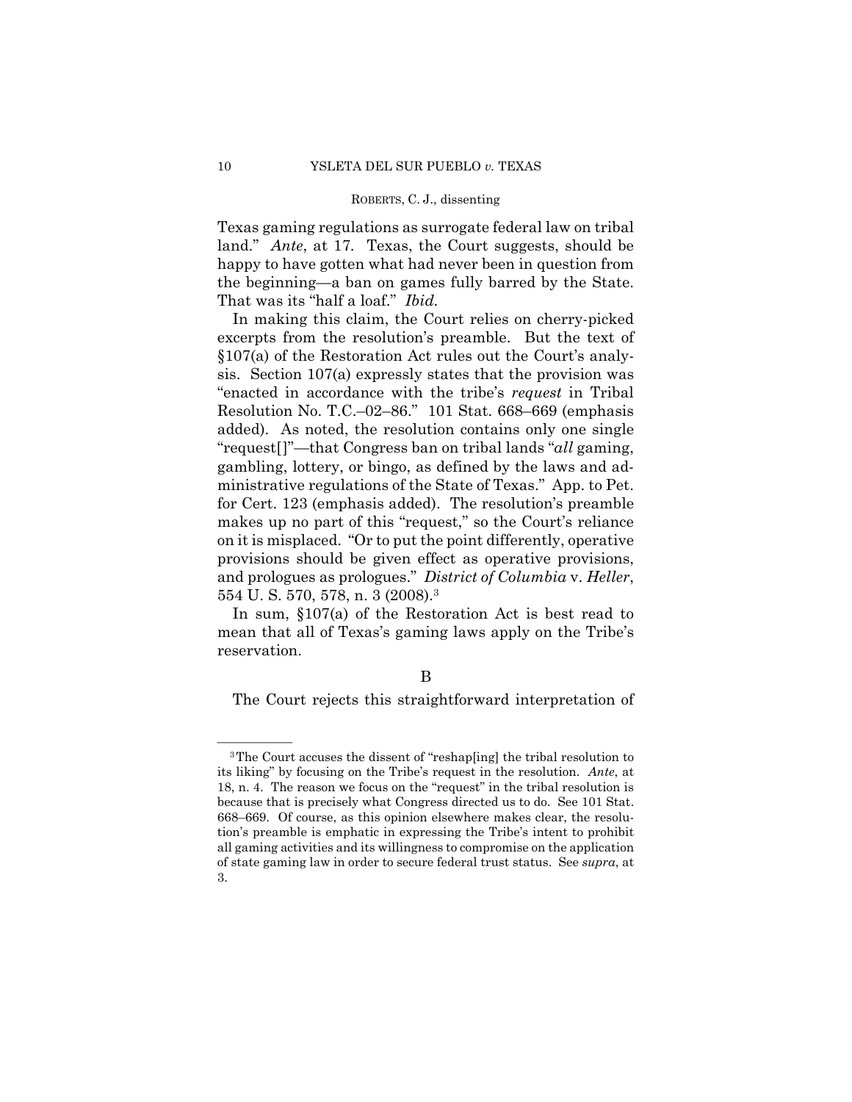Texas gaming regulations as surrogate federal law on tribal land." *Ante*, at 17*.* Texas, the Court suggests, should be happy to have gotten what had never been in question from the beginning—a ban on games fully barred by the State. That was its "half a loaf." *Ibid.* 

In making this claim, the Court relies on cherry-picked excerpts from the resolution's preamble. But the text of §107(a) of the Restoration Act rules out the Court's analysis. Section 107(a) expressly states that the provision was "enacted in accordance with the tribe's *request* in Tribal Resolution No. T.C.–02–86." 101 Stat. 668–669 (emphasis added). As noted, the resolution contains only one single "request[]"—that Congress ban on tribal lands "*all* gaming, gambling, lottery, or bingo, as defined by the laws and administrative regulations of the State of Texas." App. to Pet. for Cert. 123 (emphasis added). The resolution's preamble makes up no part of this "request," so the Court's reliance on it is misplaced. "Or to put the point differently, operative provisions should be given effect as operative provisions, and prologues as prologues." *District of Columbia* v. *Heller*, 554 U. S. 570, 578, n. 3 (2008).3

In sum, §107(a) of the Restoration Act is best read to mean that all of Texas's gaming laws apply on the Tribe's reservation.

The Court rejects this straightforward interpretation of

<sup>&</sup>lt;sup>3</sup>The Court accuses the dissent of "reshap[ing] the tribal resolution to its liking" by focusing on the Tribe's request in the resolution. *Ante*, at 18, n. 4. The reason we focus on the "request" in the tribal resolution is because that is precisely what Congress directed us to do. See 101 Stat. 668–669. Of course, as this opinion elsewhere makes clear, the resolution's preamble is emphatic in expressing the Tribe's intent to prohibit all gaming activities and its willingness to compromise on the application of state gaming law in order to secure federal trust status. See *supra*, at 3.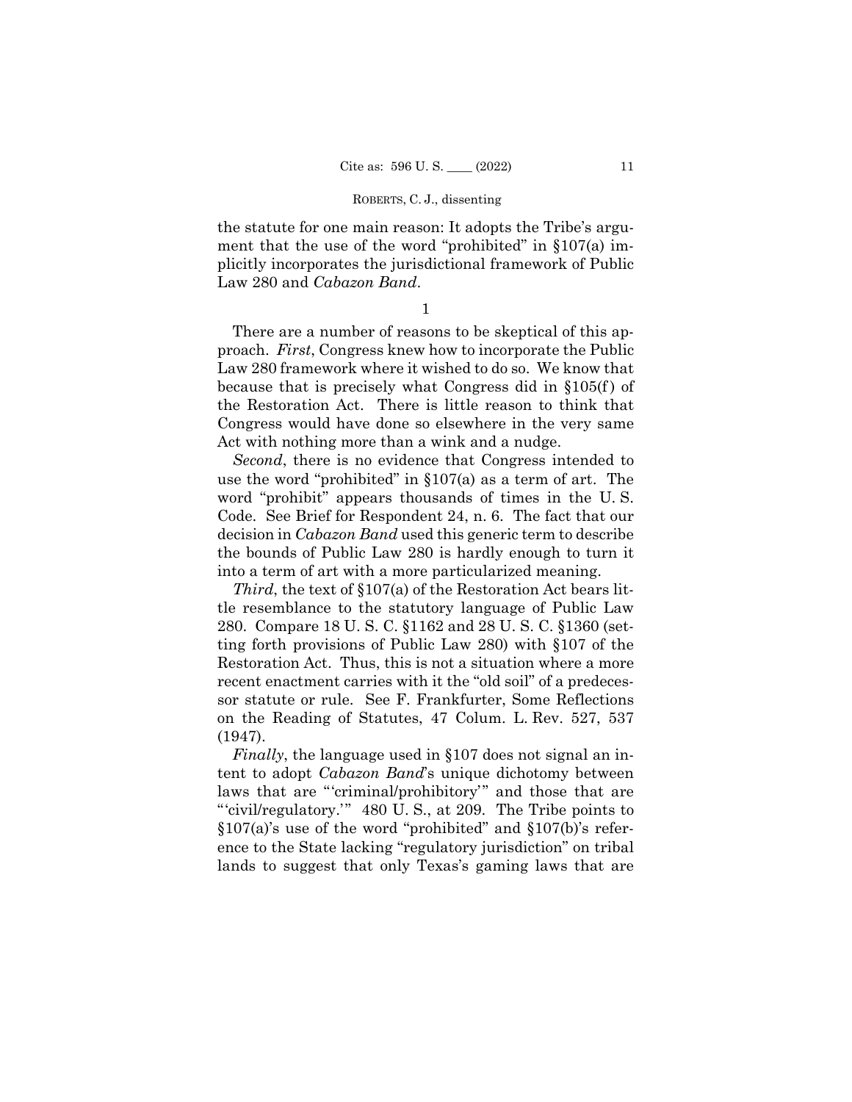the statute for one main reason: It adopts the Tribe's argument that the use of the word "prohibited" in §107(a) implicitly incorporates the jurisdictional framework of Public Law 280 and *Cabazon Band*.

1

There are a number of reasons to be skeptical of this approach. *First*, Congress knew how to incorporate the Public Law 280 framework where it wished to do so. We know that because that is precisely what Congress did in §105(f ) of the Restoration Act. There is little reason to think that Congress would have done so elsewhere in the very same Act with nothing more than a wink and a nudge.

*Second*, there is no evidence that Congress intended to use the word "prohibited" in §107(a) as a term of art. The word "prohibit" appears thousands of times in the U. S. Code. See Brief for Respondent 24, n. 6. The fact that our decision in *Cabazon Band* used this generic term to describe the bounds of Public Law 280 is hardly enough to turn it into a term of art with a more particularized meaning.

*Third*, the text of §107(a) of the Restoration Act bears little resemblance to the statutory language of Public Law 280. Compare 18 U. S. C. §1162 and 28 U. S. C. §1360 (setting forth provisions of Public Law 280) with §107 of the Restoration Act. Thus, this is not a situation where a more recent enactment carries with it the "old soil" of a predecessor statute or rule. See F. Frankfurter, Some Reflections on the Reading of Statutes, 47 Colum. L. Rev. 527, 537 (1947).

*Finally*, the language used in §107 does not signal an intent to adopt *Cabazon Band*'s unique dichotomy between laws that are "'criminal/prohibitory'" and those that are "'civil/regulatory.'" 480 U. S., at 209. The Tribe points to §107(a)'s use of the word "prohibited" and §107(b)'s reference to the State lacking "regulatory jurisdiction" on tribal lands to suggest that only Texas's gaming laws that are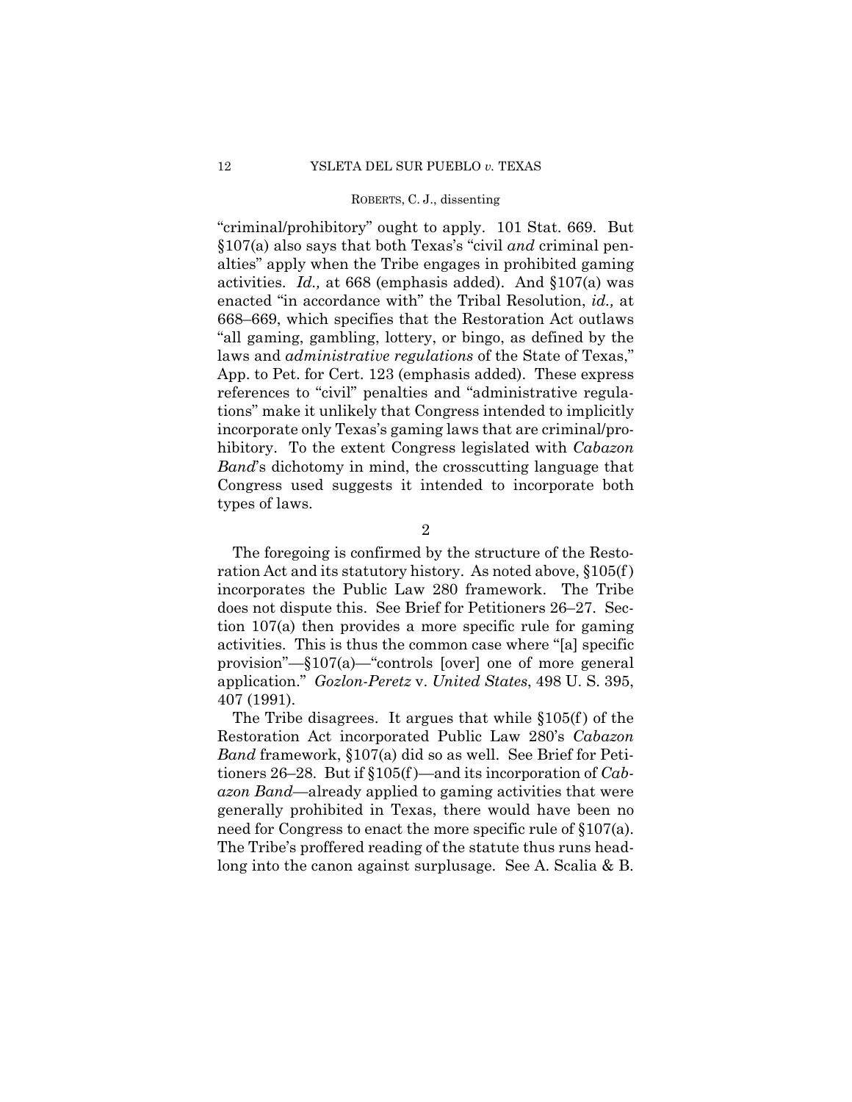"criminal/prohibitory" ought to apply. 101 Stat. 669. But §107(a) also says that both Texas's "civil *and* criminal penalties" apply when the Tribe engages in prohibited gaming activities. *Id.,* at 668 (emphasis added). And §107(a) was enacted "in accordance with" the Tribal Resolution, *id.,* at 668–669, which specifies that the Restoration Act outlaws "all gaming, gambling, lottery, or bingo, as defined by the laws and *administrative regulations* of the State of Texas," App. to Pet. for Cert. 123 (emphasis added). These express references to "civil" penalties and "administrative regulations" make it unlikely that Congress intended to implicitly incorporate only Texas's gaming laws that are criminal/prohibitory. To the extent Congress legislated with *Cabazon Band*'s dichotomy in mind, the crosscutting language that Congress used suggests it intended to incorporate both types of laws.

2

The foregoing is confirmed by the structure of the Restoration Act and its statutory history. As noted above, §105(f ) incorporates the Public Law 280 framework. The Tribe does not dispute this. See Brief for Petitioners 26–27. Section 107(a) then provides a more specific rule for gaming activities. This is thus the common case where "[a] specific provision"—§107(a)—"controls [over] one of more general application." *Gozlon-Peretz* v. *United States*, 498 U. S. 395, 407 (1991).

The Tribe disagrees. It argues that while  $$105(f)$  of the Restoration Act incorporated Public Law 280's *Cabazon Band* framework, §107(a) did so as well. See Brief for Petitioners 26–28. But if §105(f )—and its incorporation of *Cabazon Band*—already applied to gaming activities that were generally prohibited in Texas, there would have been no need for Congress to enact the more specific rule of §107(a). The Tribe's proffered reading of the statute thus runs headlong into the canon against surplusage. See A. Scalia & B.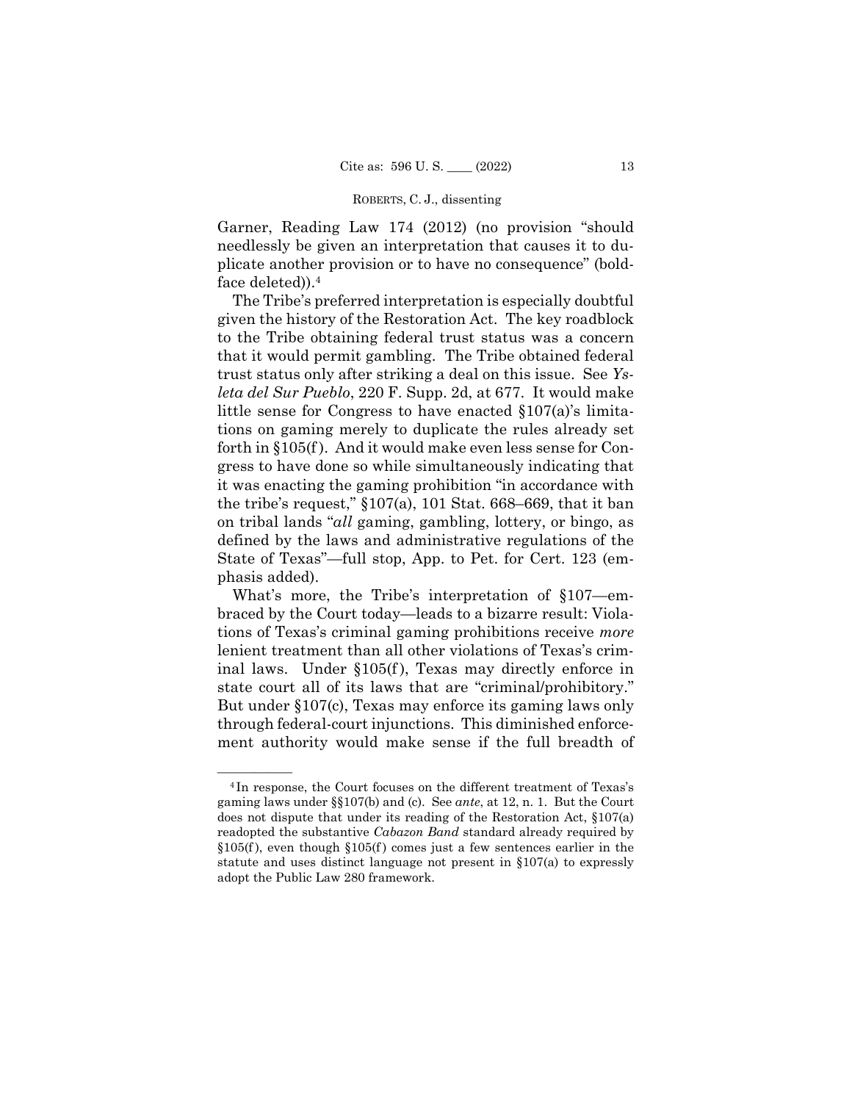Garner, Reading Law 174 (2012) (no provision "should needlessly be given an interpretation that causes it to duplicate another provision or to have no consequence" (boldface deleted)).4

The Tribe's preferred interpretation is especially doubtful given the history of the Restoration Act. The key roadblock to the Tribe obtaining federal trust status was a concern that it would permit gambling. The Tribe obtained federal trust status only after striking a deal on this issue. See *Ysleta del Sur Pueblo*, 220 F. Supp. 2d, at 677. It would make little sense for Congress to have enacted §107(a)'s limitations on gaming merely to duplicate the rules already set forth in §105(f ). And it would make even less sense for Congress to have done so while simultaneously indicating that it was enacting the gaming prohibition "in accordance with the tribe's request," §107(a), 101 Stat. 668–669, that it ban on tribal lands "*all* gaming, gambling, lottery, or bingo, as defined by the laws and administrative regulations of the State of Texas"—full stop, App. to Pet. for Cert. 123 (emphasis added).

What's more, the Tribe's interpretation of §107—embraced by the Court today—leads to a bizarre result: Violations of Texas's criminal gaming prohibitions receive *more*  lenient treatment than all other violations of Texas's criminal laws. Under §105(f ), Texas may directly enforce in state court all of its laws that are "criminal/prohibitory." But under §107(c), Texas may enforce its gaming laws only through federal-court injunctions. This diminished enforcement authority would make sense if the full breadth of

<sup>&</sup>lt;sup>4</sup>In response, the Court focuses on the different treatment of Texas's gaming laws under §§107(b) and (c). See *ante*, at 12, n. 1. But the Court does not dispute that under its reading of the Restoration Act, §107(a) readopted the substantive *Cabazon Band* standard already required by  $§105(f)$ , even though  $§105(f)$  comes just a few sentences earlier in the statute and uses distinct language not present in §107(a) to expressly adopt the Public Law 280 framework.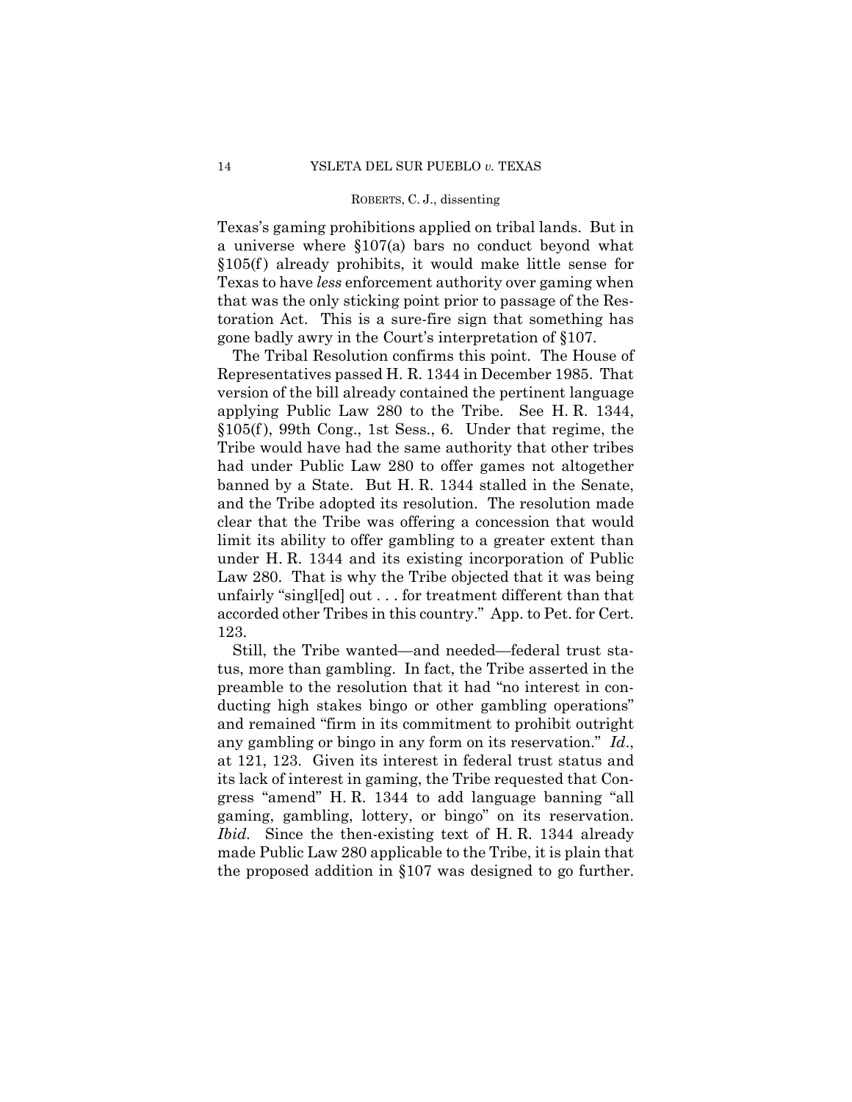Texas's gaming prohibitions applied on tribal lands. But in a universe where §107(a) bars no conduct beyond what  $§105(f)$  already prohibits, it would make little sense for Texas to have *less* enforcement authority over gaming when that was the only sticking point prior to passage of the Restoration Act. This is a sure-fire sign that something has gone badly awry in the Court's interpretation of §107.

The Tribal Resolution confirms this point. The House of Representatives passed H. R. 1344 in December 1985. That version of the bill already contained the pertinent language applying Public Law 280 to the Tribe. See H. R. 1344,  $§105(f)$ , 99th Cong., 1st Sess., 6. Under that regime, the Tribe would have had the same authority that other tribes had under Public Law 280 to offer games not altogether banned by a State. But H. R. 1344 stalled in the Senate, and the Tribe adopted its resolution. The resolution made clear that the Tribe was offering a concession that would limit its ability to offer gambling to a greater extent than under H. R. 1344 and its existing incorporation of Public Law 280. That is why the Tribe objected that it was being unfairly "singl[ed] out . . . for treatment different than that accorded other Tribes in this country." App. to Pet. for Cert. 123.

Still, the Tribe wanted—and needed—federal trust status, more than gambling. In fact, the Tribe asserted in the preamble to the resolution that it had "no interest in conducting high stakes bingo or other gambling operations" and remained "firm in its commitment to prohibit outright any gambling or bingo in any form on its reservation." *Id*., at 121, 123. Given its interest in federal trust status and its lack of interest in gaming, the Tribe requested that Congress "amend" H. R. 1344 to add language banning "all gaming, gambling, lottery, or bingo" on its reservation. *Ibid.* Since the then-existing text of H. R. 1344 already made Public Law 280 applicable to the Tribe, it is plain that the proposed addition in §107 was designed to go further.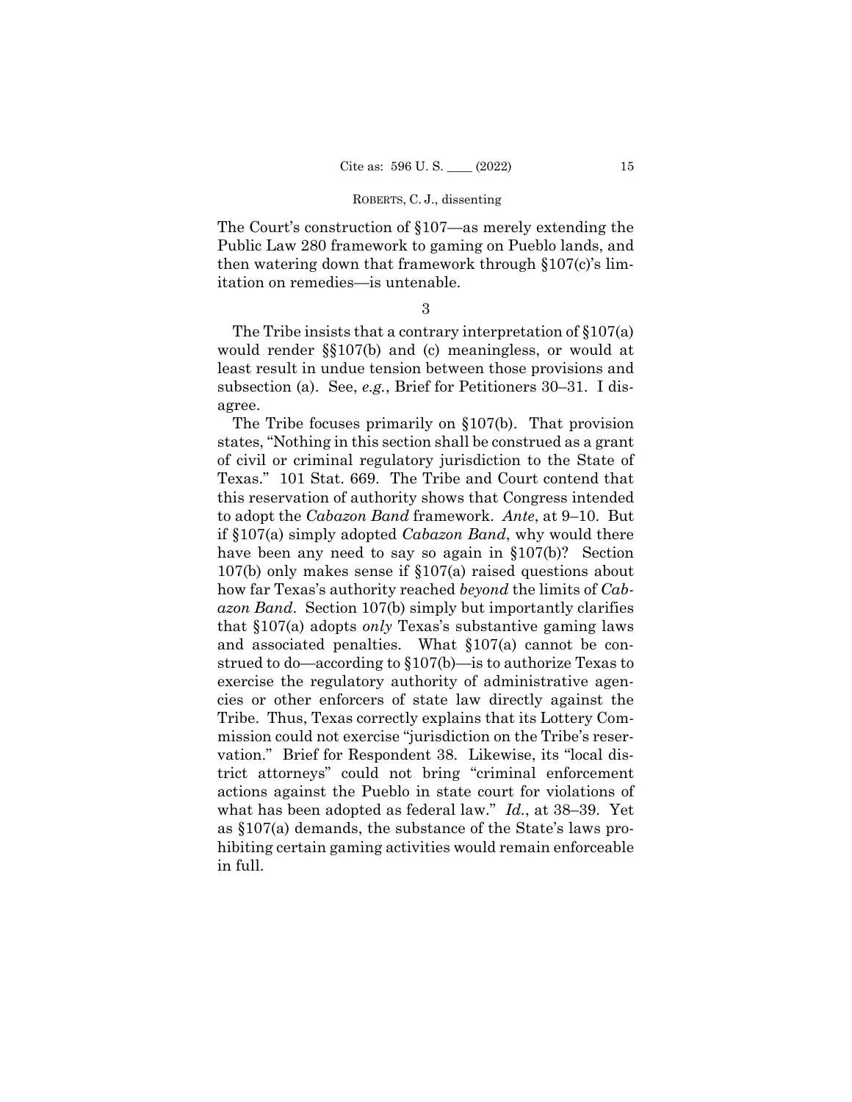The Court's construction of §107—as merely extending the Public Law 280 framework to gaming on Pueblo lands, and then watering down that framework through §107(c)'s limitation on remedies—is untenable.

3

The Tribe insists that a contrary interpretation of §107(a) would render §§107(b) and (c) meaningless, or would at least result in undue tension between those provisions and subsection (a). See, *e.g.*, Brief for Petitioners 30–31. I disagree.

 to adopt the *Cabazon Band* framework. *Ante*, at 9–10. But what has been adopted as federal law." *Id.*, at 38–39. Yet The Tribe focuses primarily on §107(b). That provision states, "Nothing in this section shall be construed as a grant of civil or criminal regulatory jurisdiction to the State of Texas." 101 Stat. 669. The Tribe and Court contend that this reservation of authority shows that Congress intended if §107(a) simply adopted *Cabazon Band*, why would there have been any need to say so again in §107(b)? Section 107(b) only makes sense if §107(a) raised questions about how far Texas's authority reached *beyond* the limits of *Cabazon Band*. Section 107(b) simply but importantly clarifies that §107(a) adopts *only* Texas's substantive gaming laws and associated penalties. What §107(a) cannot be construed to do—according to §107(b)—is to authorize Texas to exercise the regulatory authority of administrative agencies or other enforcers of state law directly against the Tribe. Thus, Texas correctly explains that its Lottery Commission could not exercise "jurisdiction on the Tribe's reservation." Brief for Respondent 38. Likewise, its "local district attorneys" could not bring "criminal enforcement actions against the Pueblo in state court for violations of as §107(a) demands, the substance of the State's laws prohibiting certain gaming activities would remain enforceable in full.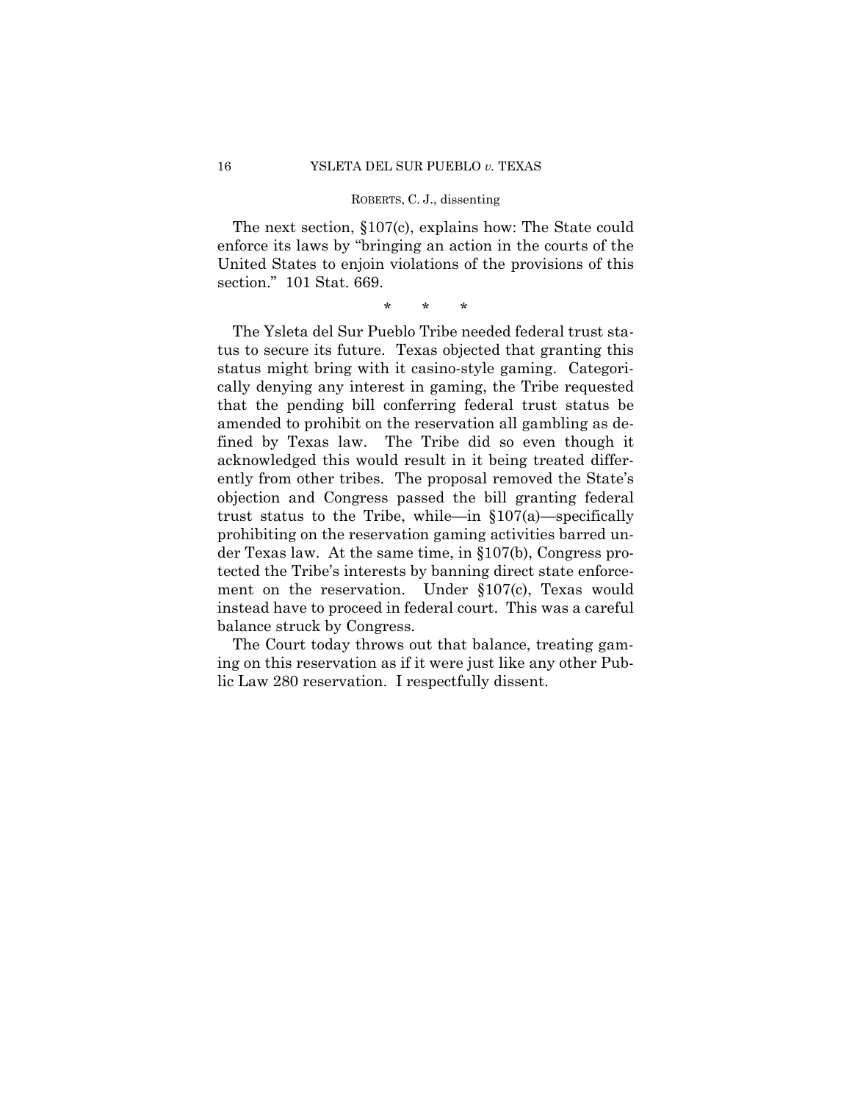The next section, §107(c), explains how: The State could enforce its laws by "bringing an action in the courts of the United States to enjoin violations of the provisions of this section." 101 Stat. 669.

\* \* \*

The Ysleta del Sur Pueblo Tribe needed federal trust status to secure its future. Texas objected that granting this status might bring with it casino-style gaming. Categorically denying any interest in gaming, the Tribe requested that the pending bill conferring federal trust status be amended to prohibit on the reservation all gambling as defined by Texas law. The Tribe did so even though it acknowledged this would result in it being treated differently from other tribes. The proposal removed the State's objection and Congress passed the bill granting federal trust status to the Tribe, while—in §107(a)—specifically prohibiting on the reservation gaming activities barred under Texas law. At the same time, in §107(b), Congress protected the Tribe's interests by banning direct state enforcement on the reservation. Under §107(c), Texas would instead have to proceed in federal court. This was a careful balance struck by Congress.

The Court today throws out that balance, treating gaming on this reservation as if it were just like any other Public Law 280 reservation. I respectfully dissent.